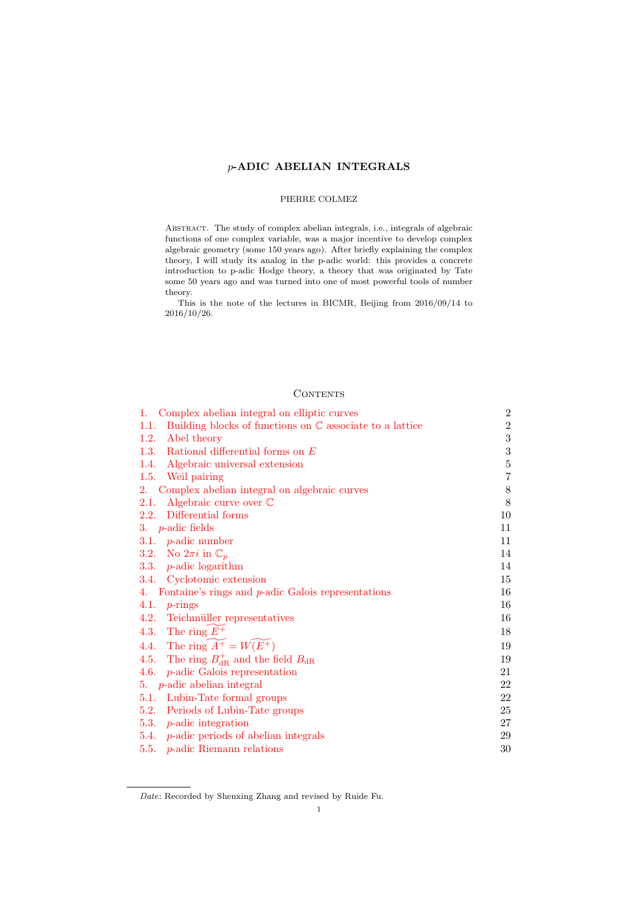## *p***-ADIC ABELIAN INTEGRALS**

### PIERRE COLMEZ

Abstract. The study of complex abelian integrals, i.e., integrals of algebraic functions of one complex variable, was a major incentive to develop complex algebraic geometry (some 150 years ago). After briefly explaining the complex theory, I will study its analog in the p-adic world: this provides a concrete introduction to p-adic Hodge theory, a theory that was originated by Tate some 50 years ago and was turned into one of most powerful tools of number theory.

This is the note of the lectures in BICMR, Beijing from 2016/09/14 to 2016/10/26.

## **CONTENTS**

| 1. Complex abelian integral on elliptic curves                             | $\overline{2}$   |
|----------------------------------------------------------------------------|------------------|
| Building blocks of functions on $\mathbb C$ associate to a lattice<br>1.1. | $\overline{2}$   |
| Abel theory<br>1.2.                                                        | 3                |
| 1.3. Rational differential forms on $E$                                    | $\boldsymbol{3}$ |
| 1.4. Algebraic universal extension                                         | $\bf 5$          |
| 1.5. Weil pairing                                                          | $\overline{7}$   |
| 2. Complex abelian integral on algebraic curves                            | $8\,$            |
| Algebraic curve over $\mathbb C$<br>2.1.                                   | 8                |
| 2.2. Differential forms                                                    | 10               |
| 3. $p$ -adic fields                                                        | 11               |
| 3.1. $p$ -adic number                                                      | 11               |
| 3.2. No $2\pi i$ in $\mathbb{C}_p$                                         | 14               |
| 3.3. $p$ -adic logarithm                                                   | 14               |
| 3.4. Cyclotomic extension                                                  | 15               |
| 4. Fontaine's rings and $p$ -adic Galois representations                   | 16               |
| 4.1. $p\text{-rings}$                                                      | 16               |
| 4.2. Teichmüller representatives                                           | 16               |
| 4.3. The ring $E^+$                                                        | 18               |
| 4.4. The ring $\widetilde{A^+} = W(E^+)$                                   | 19               |
| 4.5. The ring $B_{\rm dR}^+$ and the field $B_{\rm dR}$                    | 19               |
| 4.6. $p$ -adic Galois representation                                       | 21               |
| 5. $p$ -adic abelian integral                                              | 22               |
| 5.1. Lubin-Tate formal groups                                              | 22               |
| 5.2. Periods of Lubin-Tate groups                                          | 25               |
| 5.3. $p$ -adic integration                                                 | 27               |
| 5.4. $p$ -adic periods of abelian integrals                                | 29               |
| 5.5. $p$ -adic Riemann relations                                           | 30               |

*Date*[: Recorded by Shenxing Zhang](#page-29-0) [and revised](#page-28-0) by Ruide Fu.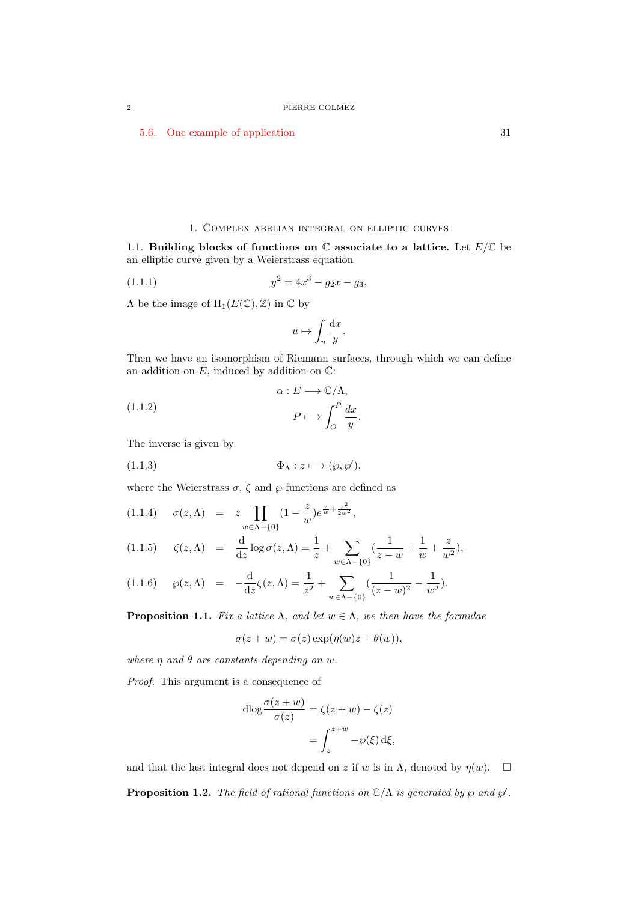5.6. One example of application 31

#### 1. Complex abelian integral on elliptic curves

1.1. **Building blocks of functions on**  $\mathbb C$  associate to a lattice. Let  $E/\mathbb C$  be an elliptic curve given by a Weierstrass equation

<span id="page-1-0"></span>(1.1.1) 
$$
y^2 = 4x^3 - g_2x - g_3,
$$

<span id="page-1-1"></span> $\Lambda$  be the image of  $H_1(E(\mathbb{C}), \mathbb{Z})$  in  $\mathbb C$  by

$$
u\mapsto \int_u \frac{\mathrm{d}x}{y}.
$$

Then we have an isomorphism of Riemann surfaces, through which we can define an addition on  $E$ , induced by addition on  $\mathbb{C}$ :

*.*

(1.1.2) 
$$
\alpha : E \longrightarrow \mathbb{C}/\Lambda,
$$

$$
P \longmapsto \int_{O}^{P} \frac{dx}{y}
$$

The inverse is given by

(1.1.3) Φ<sup>Λ</sup> : *z 7−→* (*℘, ℘′* )*,*

where the Weierstrass  $\sigma$ ,  $\zeta$  and  $\varphi$  functions are defined as

(1.1.4) 
$$
\sigma(z, \Lambda) = z \prod_{w \in \Lambda - \{0\}} (1 - \frac{z}{w}) e^{\frac{z}{w} + \frac{z^2}{2w^2}},
$$

(1.1.5) 
$$
\zeta(z,\Lambda) = \frac{d}{dz} \log \sigma(z,\Lambda) = \frac{1}{z} + \sum_{w \in \Lambda - \{0\}} \left( \frac{1}{z - w} + \frac{1}{w} + \frac{z}{w^2} \right),
$$

$$
(1.1.6) \quad \wp(z,\Lambda) = -\frac{\mathrm{d}}{\mathrm{d}z}\zeta(z,\Lambda) = \frac{1}{z^2} + \sum_{w \in \Lambda - \{0\}} \left(\frac{1}{(z-w)^2} - \frac{1}{w^2}\right).
$$

**Proposition 1.1.** *Fix a lattice*  $\Lambda$ *, and let*  $w \in \Lambda$ *, we then have the formulae* 

$$
\sigma(z + w) = \sigma(z) \exp(\eta(w)z + \theta(w)),
$$

*where η and θ are constants depending on w.*

*Proof.* This argument is a consequence of

$$
\mathrm{dlog}\frac{\sigma(z+w)}{\sigma(z)} = \zeta(z+w) - \zeta(z)
$$

$$
= \int_{z}^{z+w} -\varphi(\xi) \,\mathrm{d}\xi,
$$

and that the last integral does not depend on *z* if *w* is in  $\Lambda$ , denoted by  $\eta(w)$ .  $\Box$ 

**Proposition 1.2.** *The field of rational functions on*  $\mathbb{C}/\Lambda$  *is generated by*  $\wp$  *and*  $\wp'$ *.*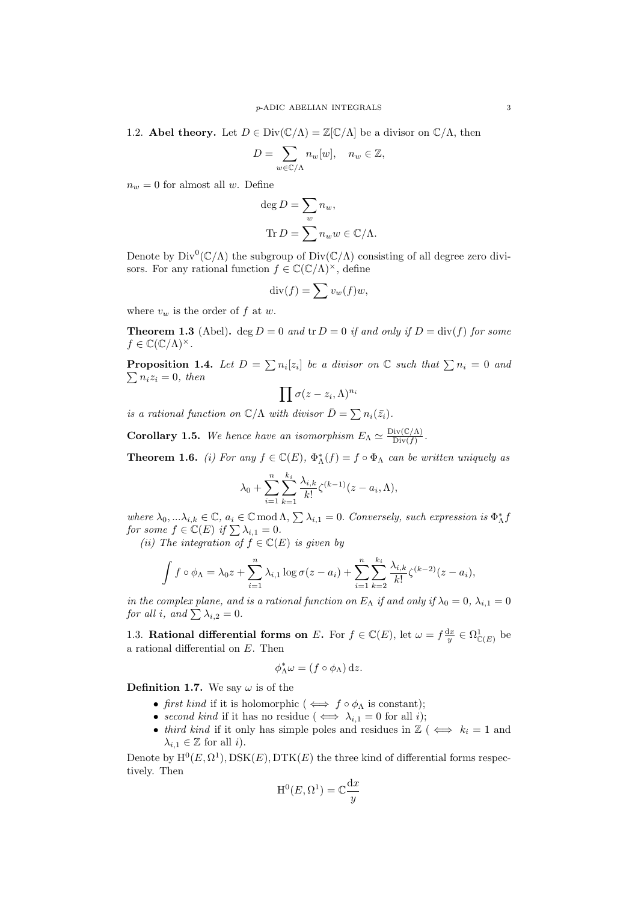<span id="page-2-0"></span>1.2. **Abel theory.** Let  $D \in Div(\mathbb{C}/\Lambda) = \mathbb{Z}[\mathbb{C}/\Lambda]$  be a divisor on  $\mathbb{C}/\Lambda$ , then

$$
D = \sum_{w \in \mathbb{C}/\Lambda} n_w[w], \quad n_w \in \mathbb{Z},
$$

 $n_w = 0$  for almost all *w*. Define

deg 
$$
D = \sum_{w} n_w
$$
,  
Tr  $D = \sum_{w} n_w w \in \mathbb{C}/\Lambda$ .

Denote by  $Div^0(\mathbb{C}/\Lambda)$  the subgroup of  $Div(\mathbb{C}/\Lambda)$  consisting of all degree zero divisors. For any rational function  $f \in \mathbb{C}(\mathbb{C}/\Lambda)^\times$ , define

$$
\mathrm{div}(f) = \sum v_w(f)w,
$$

where  $v_w$  is the order of  $f$  at  $w$ .

**Theorem 1.3** (Abel). deg  $D = 0$  and tr  $D = 0$  if and only if  $D = \text{div}(f)$  for some  $f \in \mathbb{C}(\mathbb{C}/\Lambda)^\times$ .

**Proposition 1.4.** Let  $D = \sum n_i[z_i]$  be a divisor on  $\mathbb{C}$  such that  $\sum n_i = 0$  and  $\sum n_i z_i = 0$ , then

$$
\prod \sigma(z-z_i,\Lambda)^{n_i}
$$

*is a rational function on*  $\mathbb{C}/\Lambda$  *with divisor*  $\overline{D} = \sum n_i(\overline{z_i})$ *.* 

**Corollary 1.5.** *We hence have an isomorphism*  $E_{\Lambda} \simeq \frac{\text{Div}(\mathbb{C}/\Lambda)}{\text{Div}(f)}$ .

**Theorem 1.6.** *(i)* For any  $f \in \mathbb{C}(E)$ ,  $\Phi_{\Lambda}^{*}(f) = f \circ \Phi_{\Lambda}$  can be written uniquely as

$$
\lambda_0 + \sum_{i=1}^n \sum_{k=1}^{k_i} \frac{\lambda_{i,k}}{k!} \zeta^{(k-1)}(z - a_i, \Lambda),
$$

*where*  $\lambda_0, \ldots, \lambda_{i,k} \in \mathbb{C}$ ,  $a_i \in \mathbb{C} \mod \Lambda$ ,  $\sum \lambda_{i,1} = 0$ . *Conversely, such expression is*  $\Phi_{\Lambda}^* f$ *for some*  $f \in \mathbb{C}(E)$  *if*  $\sum \lambda_{i,1} = 0$ *.* 

*(ii)* The integration of  $f \in \mathbb{C}(E)$  *is given by* 

$$
\int f \circ \phi_{\Lambda} = \lambda_0 z + \sum_{i=1}^n \lambda_{i,1} \log \sigma(z - a_i) + \sum_{i=1}^n \sum_{k=2}^{k_i} \frac{\lambda_{i,k}}{k!} \zeta^{(k-2)}(z - a_i),
$$

*in the complex plane, and is a rational function on*  $E_{\Lambda}$  *if and only if*  $\lambda_0 = 0$ ,  $\lambda_{i,1} = 0$ *for all i, and*  $\sum \lambda_{i,2} = 0$ *.* 

<span id="page-2-1"></span>1.3. **Rational differential forms on** *E***.** For  $f \in \mathbb{C}(E)$ , let  $\omega = f \frac{dx}{y} \in \Omega_{\mathbb{C}(E)}^1$  be a rational differential on *E*. Then

$$
\phi_\Lambda^*\omega = (f\circ\phi_\Lambda)\,\mathrm{d} z.
$$

**Definition 1.7.** We say  $\omega$  is of the

- *• first kind* if it is holomorphic ( *⇐⇒ f ◦ ϕ*<sup>Λ</sup> is constant);
- *second kind* if it has no residue ( $\iff \lambda_{i,1} = 0$  for all *i*);
- *third kind* if it only has simple poles and residues in  $\mathbb{Z}$  ( $\iff k_i = 1$  and  $\lambda_{i,1} \in \mathbb{Z}$  for all *i*).

Denote by  $\mathrm{H}^{0}(E, \Omega^{1}), \mathrm{DSK}(E), \mathrm{DTK}(E)$  the three kind of differential forms respectively. Then

$$
\mathrm{H}^0(E, \Omega^1) = \mathbb{C} \frac{\mathrm{d} x}{y}
$$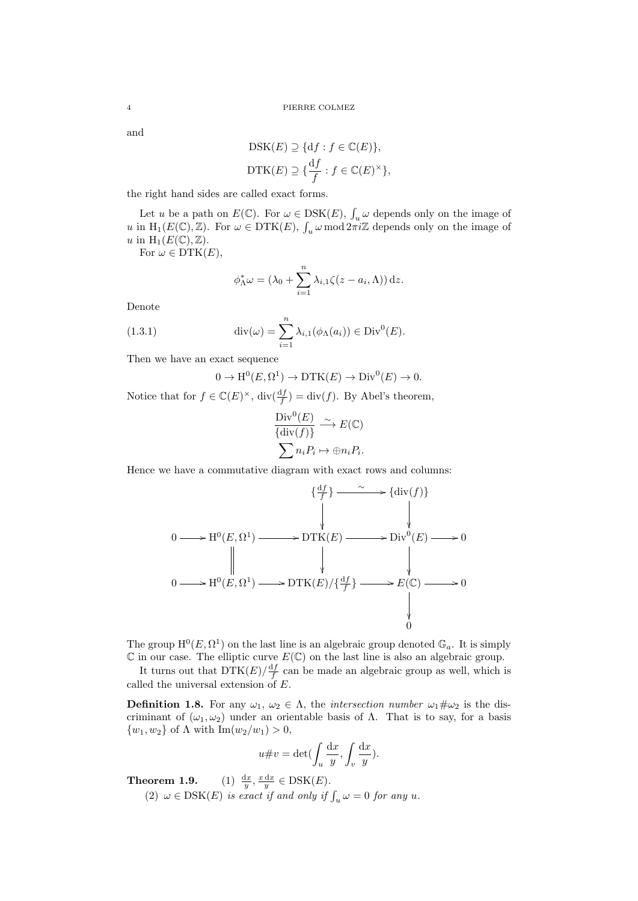and

$$
DSK(E) \supseteq \{df : f \in \mathbb{C}(E)\},
$$
  

$$
DTK(E) \supseteq \{\frac{df}{f} : f \in \mathbb{C}(E)^{\times}\},
$$

the right hand sides are called exact forms.

Let *u* be a path on  $E(\mathbb{C})$ . For  $\omega \in \text{DSK}(E)$ ,  $\int_u \omega$  depends only on the image of *u* in  $H_1(E(\mathbb{C}), \mathbb{Z})$ . For  $\omega \in \text{DTK}(E)$ ,  $\int_u \omega \mod 2\pi i \mathbb{Z}$  depends only on the image of *u* in  $H_1(E(\mathbb{C}), \mathbb{Z})$ .

For  $\omega \in \text{DTK}(E)$ ,

$$
\phi_{\Lambda}^* \omega = (\lambda_0 + \sum_{i=1}^n \lambda_{i,1} \zeta(z - a_i, \Lambda)) \, \mathrm{d} z.
$$

Denote

(1.3.1) 
$$
\operatorname{div}(\omega) = \sum_{i=1}^{n} \lambda_{i,1}(\phi_{\Lambda}(a_i)) \in \operatorname{Div}^0(E).
$$

Then we have an exact sequence

$$
0 \to H^0(E, \Omega^1) \to \text{DTK}(E) \to \text{Div}^0(E) \to 0.
$$

Notice that for  $f \in \mathbb{C}(E)^{\times}$ ,  $\text{div}(\frac{df}{f}) = \text{div}(f)$ . By Abel's theorem,

$$
\frac{\text{Div}^0(E)}{\{\text{div}(f)\}} \xrightarrow{\sim} E(\mathbb{C})
$$

$$
\sum n_i P_i \mapsto \bigoplus n_i P_i.
$$

Hence we have a commutative diagram with exact rows and columns:

$$
\{ \frac{df}{f} \} \longrightarrow \{ \text{div}(f) \}
$$
  
\n
$$
0 \longrightarrow H^{0}(E, \Omega^{1}) \longrightarrow \text{DTK}(E) \longrightarrow \text{Div}^{0}(E) \longrightarrow 0
$$
  
\n
$$
\parallel \qquad \qquad \downarrow \qquad \qquad \downarrow
$$
  
\n
$$
0 \longrightarrow H^{0}(E, \Omega^{1}) \longrightarrow \text{DTK}(E)/\{\frac{df}{f}\} \longrightarrow E(\mathbb{C}) \longrightarrow 0
$$
  
\n
$$
\downarrow
$$
  
\n
$$
0
$$

The group  $H^0(E, \Omega^1)$  on the last line is an algebraic group denoted  $\mathbb{G}_a$ . It is simply  $\mathbb C$  in our case. The elliptic curve  $E(\mathbb C)$  on the last line is also an algebraic group.

It turns out that  $DTK(E)/\frac{df}{f}$  can be made an algebraic group as well, which is called the universal extension of *E*.

**Definition 1.8.** For any  $\omega_1$ ,  $\omega_2 \in \Lambda$ , the *intersection number*  $\omega_1 \# \omega_2$  is the discriminant of  $(\omega_1, \omega_2)$  under an orientable basis of  $\Lambda$ . That is to say, for a basis *{w*<sub>1</sub>*, w*<sub>2</sub>*}* of Λ with Im(*w*<sub>2</sub>*/w*<sub>1</sub>) > 0,

$$
u \# v = \det(\int_u \frac{\mathrm{d}x}{y}, \int_v \frac{\mathrm{d}x}{y}).
$$

**Theorem 1.9.** (1)  $\frac{dx}{y}$ ,  $\frac{x dx}{y} \in \text{DSK}(E)$ .

(2)  $\omega \in \text{DSK}(E)$  *is exact if and only if*  $\int_u \omega = 0$  *for any u.*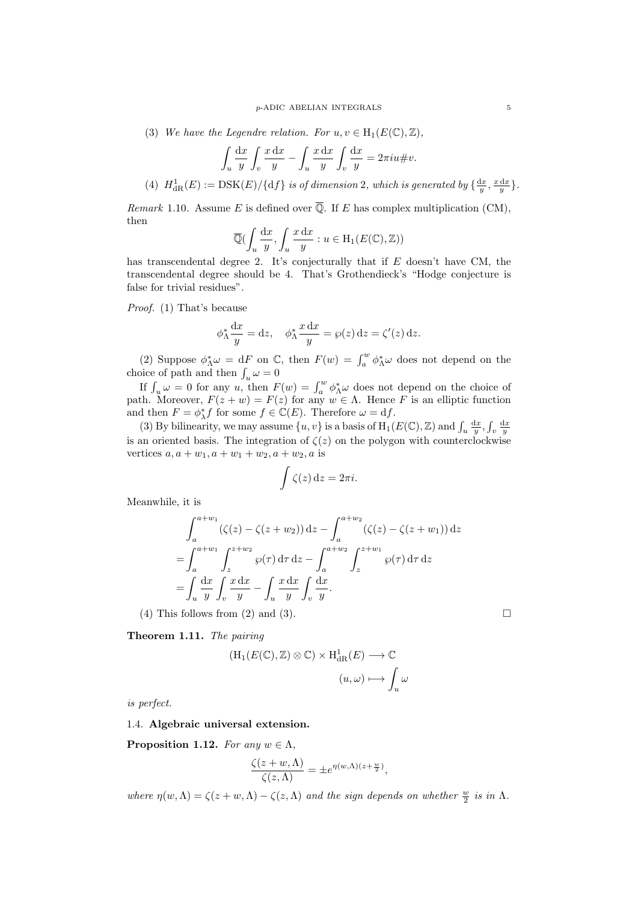(3) *We have the Legendre relation. For*  $u, v \in H_1(E(\mathbb{C}), \mathbb{Z})$ ,

$$
\int_u \frac{dx}{y} \int_v \frac{x \, dx}{y} - \int_u \frac{x \, dx}{y} \int_v \frac{dx}{y} = 2\pi i u \# v.
$$

(4)  $H_{\text{dR}}^1(E) := \text{DSK}(E)/\{\text{d}f\}$  is of dimension 2, which is generated by  $\{\frac{dx}{y}, \frac{x \, dx}{y}\}.$ 

*Remark* 1.10*.* Assume *E* is defined over  $\overline{Q}$ . If *E* has complex multiplication (CM), then

$$
\overline{\mathbb{Q}}\left(\int_u \frac{\mathrm{d}x}{y}, \int_u \frac{x \, \mathrm{d}x}{y} : u \in \mathrm{H}_1(E(\mathbb{C}), \mathbb{Z})\right)
$$

has transcendental degree 2. It's conjecturally that if *E* doesn't have CM, the transcendental degree should be 4. That's Grothendieck's "Hodge conjecture is false for trivial residues".

*Proof.* (1) That's because

$$
\phi_{\Lambda}^* \frac{dx}{y} = dz, \quad \phi_{\Lambda}^* \frac{x dx}{y} = \wp(z) dz = \zeta'(z) dz.
$$

(2) Suppose  $\phi_{\Lambda}^* \omega = dF$  on  $\mathbb{C}$ , then  $F(w) = \int_a^w \phi_{\Lambda}^* \omega$  does not depend on the choice of path and then  $\int_u \omega = 0$ 

If  $\int_u \omega = 0$  for any *u*, then  $F(w) = \int_a^w \phi^* \omega$  does not depend on the choice of path. Moreover,  $F(z + w) = F(z)$  for any  $w \in \Lambda$ . Hence *F* is an elliptic function and then  $F = \phi_{\lambda}^* f$  for some  $f \in \mathbb{C}(E)$ . Therefore  $\omega = df$ .

(3) By bilinearity, we may assume  $\{u, v\}$  is a basis of  $H_1(E(\mathbb{C}), \mathbb{Z})$  and  $\int_u \frac{dx}{y}$ ,  $\int_v \frac{dx}{y}$ is an oriented basis. The integration of  $\zeta(z)$  on the polygon with counterclockwise vertices  $a, a + w_1, a + w_1 + w_2, a + w_2, a$  is

$$
\int \zeta(z) \,\mathrm{d} z = 2\pi i.
$$

Meanwhile, it is

$$
\int_{a}^{a+w_{1}} (\zeta(z) - \zeta(z+w_{2})) dz - \int_{a}^{a+w_{2}} (\zeta(z) - \zeta(z+w_{1})) dz
$$
  
= 
$$
\int_{a}^{a+w_{1}} \int_{z}^{z+w_{2}} \wp(\tau) d\tau dz - \int_{a}^{a+w_{2}} \int_{z}^{z+w_{1}} \wp(\tau) d\tau dz
$$
  
= 
$$
\int_{a} \frac{dx}{y} \int_{v} \frac{x dx}{y} - \int_{a} \frac{x dx}{y} \int_{v} \frac{dx}{y}.
$$

(4) This follows from (2) and (3).  $\square$ 

**Theorem 1.11.** *The pairing*

$$
(\mathrm{H}_1(E(\mathbb{C}), \mathbb{Z}) \otimes \mathbb{C}) \times \mathrm{H}^1_{\mathrm{dR}}(E) \longrightarrow \mathbb{C}
$$

$$
(u, \omega) \longmapsto \int_u \omega
$$

*is perfect.*

#### <span id="page-4-0"></span>1.4. **Algebraic universal extension.**

**Proposition 1.12.** *For any*  $w \in \Lambda$ *,* 

$$
\frac{\zeta(z+w,\Lambda)}{\zeta(z,\Lambda)} = \pm e^{\eta(w,\Lambda)(z+\frac{w}{2})},
$$

*where*  $\eta(w, \Lambda) = \zeta(z+w, \Lambda) - \zeta(z, \Lambda)$  *and the sign depends on whether*  $\frac{w}{2}$  *is in*  $\Lambda$ *.*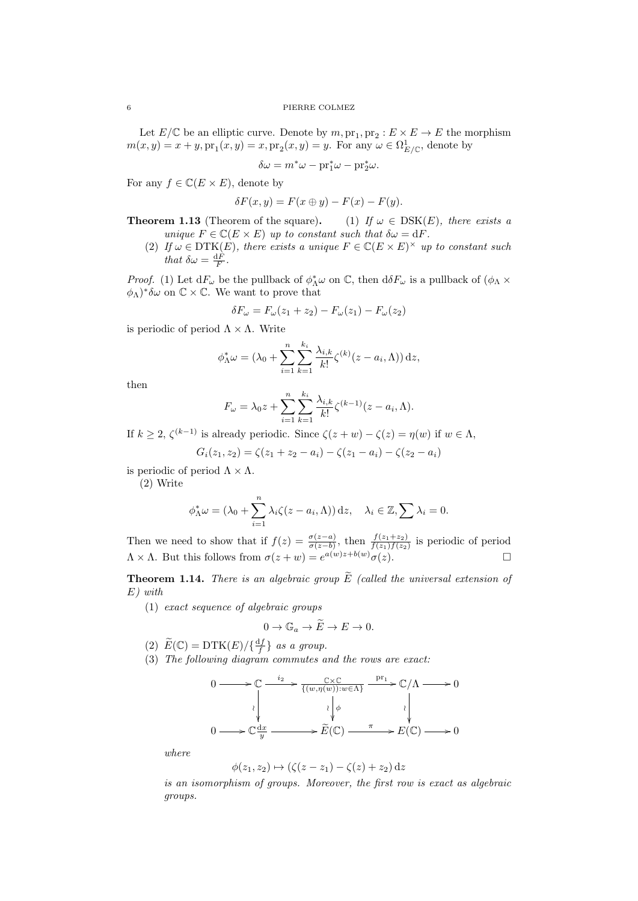#### 6 PIERRE COLMEZ

Let  $E/\mathbb{C}$  be an elliptic curve. Denote by  $m, \text{pr}_1, \text{pr}_2 : E \times E \to E$  the morphism  $m(x, y) = x + y$ ,  $\text{pr}_1(x, y) = x$ ,  $\text{pr}_2(x, y) = y$ . For any  $\omega \in \Omega^1_{E/\mathbb{C}}$ , denote by

$$
\delta\omega = m^*\omega - \mathrm{pr}_1^*\omega - \mathrm{pr}_2^*\omega.
$$

For any  $f \in \mathbb{C}(E \times E)$ , denote by

$$
\delta F(x, y) = F(x \oplus y) - F(x) - F(y).
$$

**Theorem 1.13** (Theorem of the square). (1) *If*  $\omega \in \text{DSK}(E)$ , there exists a *unique*  $F \in \mathbb{C}(E \times E)$  *up to constant such that*  $\delta \omega = dF$ *.* 

(2) *If*  $\omega \in \text{DTK}(E)$ , there exists a unique  $F \in \mathbb{C}(E \times E)^\times$  up to constant such *that*  $\delta \omega = \frac{dF}{F}$ .

*Proof.* (1) Let  $dF_\omega$  be the pullback of  $\phi^*$ <sup>*⁄*</sup><sub></sub> $\alpha$  on  $\mathbb{C}$ , then  $d\delta F_\omega$  is a pullback of  $(\phi$ <sup>*N*</sup>  $\times$  $(\phi_{\Lambda})^* \delta \omega$  on  $\mathbb{C} \times \mathbb{C}$ . We want to prove that

$$
\delta F_{\omega} = F_{\omega}(z_1 + z_2) - F_{\omega}(z_1) - F_{\omega}(z_2)
$$

is periodic of period  $\Lambda \times \Lambda$ . Write

$$
\phi_{\Lambda}^* \omega = (\lambda_0 + \sum_{i=1}^n \sum_{k=1}^{k_i} \frac{\lambda_{i,k}}{k!} \zeta^{(k)}(z - a_i, \Lambda)) \, \mathrm{d} z,
$$

then

$$
F_{\omega} = \lambda_0 z + \sum_{i=1}^n \sum_{k=1}^{k_i} \frac{\lambda_{i,k}}{k!} \zeta^{(k-1)}(z - a_i, \Lambda).
$$

If  $k \geq 2$ ,  $\zeta^{(k-1)}$  is already periodic. Since  $\zeta(z+w) - \zeta(z) = \eta(w)$  if  $w \in \Lambda$ ,

$$
G_i(z_1, z_2) = \zeta(z_1 + z_2 - a_i) - \zeta(z_1 - a_i) - \zeta(z_2 - a_i)
$$

is periodic of period  $\Lambda \times \Lambda$ .

(2) Write

$$
\phi_{\Lambda}^* \omega = (\lambda_0 + \sum_{i=1}^n \lambda_i \zeta(z - a_i, \Lambda)) \, \mathrm{d} z, \quad \lambda_i \in \mathbb{Z}, \sum \lambda_i = 0.
$$

Then we need to show that if  $f(z) = \frac{\sigma(z-a)}{\sigma(z-b)}$ , then  $\frac{f(z_1+z_2)}{f(z_1)f(z_2)}$  is periodic of period  $\Lambda \times \Lambda$ . But this follows from  $\sigma(z+w) = e^{a(w)z+b(w)}\sigma(z)$ .

**Theorem 1.14.** *There is an algebraic group*  $\widetilde{E}$  *(called the universal extension of E) with*

(1) *exact sequence of algebraic groups*

$$
0 \to \mathbb{G}_a \to \widetilde{E} \to E \to 0.
$$

- (2)  $\widetilde{E}(\mathbb{C}) = \text{DTK}(E)/\{\frac{df}{f}\}\$ as a group.
- (3) *The following diagram commutes and the rows are exact:*



*where*

$$
\phi(z_1, z_2) \mapsto (\zeta(z - z_1) - \zeta(z) + z_2) dz
$$

*is an isomorphism of groups. Moreover, the first row is exact as algebraic groups.*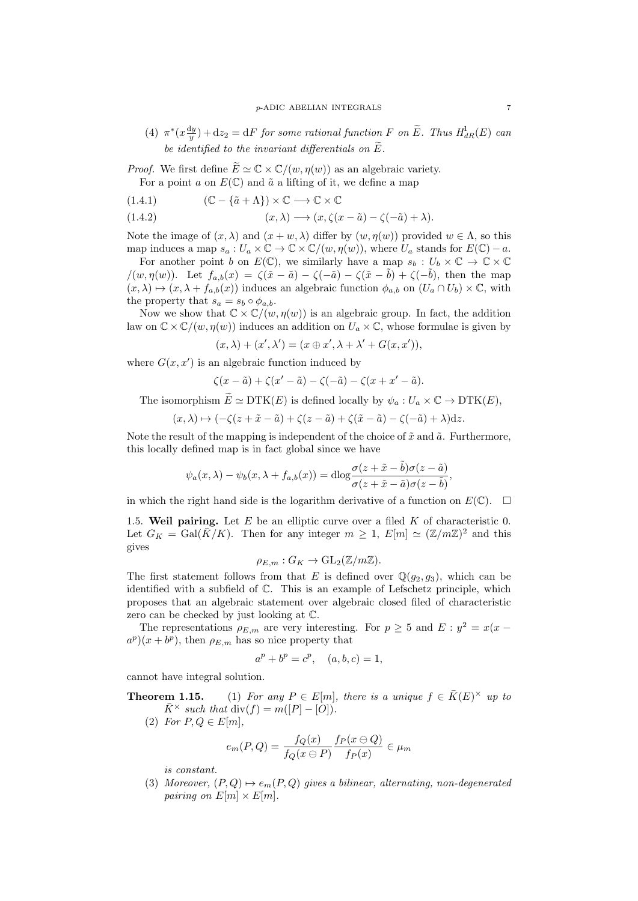$(4)$   $\pi^*(x\frac{dy}{y}) + dz_2 = dF$  *for some rational function F on*  $\widetilde{E}$ *. Thus*  $H_{dR}^1(E)$  *can be identified to the invariant differentials on*  $\widetilde{E}$ .

*Proof.* We first define  $\widetilde{E} \simeq \mathbb{C} \times \mathbb{C}/(w, \eta(w))$  as an algebraic variety. For a point  $a$  on  $E(\mathbb{C})$  and  $\tilde{a}$  a lifting of it, we define a map

(1.4.1) 
$$
(\mathbb{C} - {\{\tilde{a} + \Lambda\}}) \times \mathbb{C} \longrightarrow \mathbb{C} \times \mathbb{C}
$$

(1.4.2) 
$$
(x, \lambda) \longrightarrow (x, \zeta(x - \tilde{a}) - \zeta(-\tilde{a}) + \lambda).
$$

Note the image of  $(x, \lambda)$  and  $(x + w, \lambda)$  differ by  $(w, \eta(w))$  provided  $w \in \Lambda$ , so this map induces a map  $s_a : U_a \times \mathbb{C} \to \mathbb{C} \times \mathbb{C}/(w, \eta(w))$ , where  $U_a$  stands for  $E(\mathbb{C}) - a$ .

For another point *b* on  $E(\mathbb{C})$ , we similarly have a map  $s_b: U_b \times \mathbb{C} \to \mathbb{C} \times \mathbb{C}$  $/(w, \eta(w))$ . Let  $f_{a,b}(x) = \zeta(\tilde{x} - \tilde{a}) - \zeta(-\tilde{a}) - \zeta(\tilde{x} - \tilde{b}) + \zeta(-\tilde{b})$ , then the map  $(x, \lambda) \mapsto (x, \lambda + f_{a,b}(x))$  induces an algebraic function  $\phi_{a,b}$  on  $(U_a \cap U_b) \times \mathbb{C}$ , with the property that  $s_a = s_b \circ \phi_{a,b}$ .

Now we show that  $\mathbb{C} \times \mathbb{C}/(w, \eta(w))$  is an algebraic group. In fact, the addition law on  $\mathbb{C} \times \mathbb{C}/(w, \eta(w))$  induces an addition on  $U_a \times \mathbb{C}$ , whose formulae is given by

$$
(x, \lambda) + (x', \lambda') = (x \oplus x', \lambda + \lambda' + G(x, x')),
$$

where  $G(x, x')$  is an algebraic function induced by

$$
\zeta(x-\tilde{a})+\zeta(x'-\tilde{a})-\zeta(-\tilde{a})-\zeta(x+x'-\tilde{a}).
$$

The isomorphism  $\widetilde{E} \simeq \text{DTK}(E)$  is defined locally by  $\psi_a: U_a \times \mathbb{C} \to \text{DTK}(E)$ ,

$$
(x,\lambda)\mapsto (-\zeta(z+\tilde{x}-\tilde{a})+\zeta(z-\tilde{a})+\zeta(\tilde{x}-\tilde{a})-\zeta(-\tilde{a})+\lambda)dz.
$$

Note the result of the mapping is independent of the choice of  $\tilde{x}$  and  $\tilde{a}$ . Furthermore, this locally defined map is in fact global since we have

$$
\psi_a(x,\lambda) - \psi_b(x,\lambda + f_{a,b}(x)) = \mathrm{dlog} \frac{\sigma(z + \tilde{x} - \tilde{b})\sigma(z - \tilde{a})}{\sigma(z + \tilde{x} - \tilde{a})\sigma(z - \tilde{b})},
$$

in which the right hand side is the logarithm derivative of a function on  $E(\mathbb{C})$ .  $\Box$ 

<span id="page-6-0"></span>1.5. **Weil pairing.** Let *E* be an elliptic curve over a filed *K* of characteristic 0. Let  $G_K = \text{Gal}(\overline{K}/K)$ . Then for any integer  $m \geq 1$ ,  $E[m] \simeq (\mathbb{Z}/m\mathbb{Z})^2$  and this gives

$$
\rho_{E,m}: G_K \to \mathrm{GL}_2(\mathbb{Z}/m\mathbb{Z}).
$$

The first statement follows from that *E* is defined over  $\mathbb{Q}(g_2, g_3)$ , which can be identified with a subfield of C. This is an example of Lefschetz principle, which proposes that an algebraic statement over algebraic closed filed of characteristic zero can be checked by just looking at C.

The representations  $\rho_{E,m}$  are very interesting. For  $p \geq 5$  and  $E: y^2 = x(x - \rho)$  $a^p(x + b^p)$ , then  $\rho_{E,m}$  has so nice property that

$$
a^p + b^p = c^p, \quad (a, b, c) = 1,
$$

cannot have integral solution.

**Theorem 1.15.** (1) For any  $P \in E[m]$ , there is a unique  $f \in \overline{K}(E)^\times$  up to  $\bar{K}^{\times}$  *such that* div(*f*) = *m*([*P*] *−* [*O*]).

(2) *For*  $P, Q \in E[m]$ ,

$$
e_m(P,Q) = \frac{f_Q(x)}{f_Q(x \ominus P)} \frac{f_P(x \ominus Q)}{f_P(x)} \in \mu_m
$$

*is constant.*

(3) *Moreover,*  $(P,Q) \mapsto e_m(P,Q)$  *gives a bilinear, alternating, non-degenerated pairing on*  $E[m] \times E[m]$ .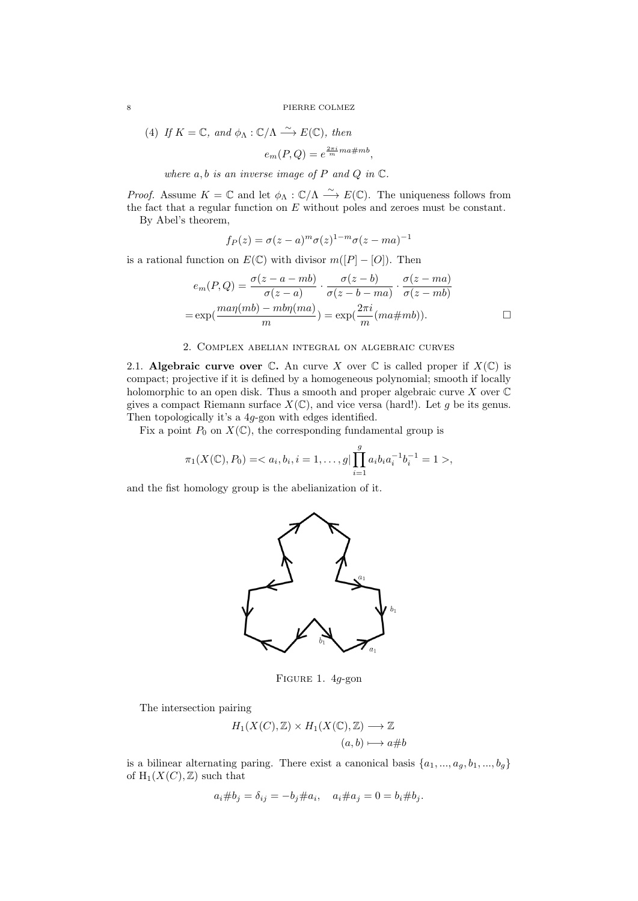8 PIERRE COLMEZ

(4) If 
$$
K = \mathbb{C}
$$
, and  $\phi_{\Lambda} : \mathbb{C}/\Lambda \xrightarrow{\sim} E(\mathbb{C})$ , then  

$$
e_m(P,Q) = e^{\frac{2\pi i}{m}ma\#mb},
$$

*where*  $a, b$  *is an inverse image of*  $P$  *and*  $Q$  *in*  $\mathbb{C}$ *.* 

*Proof.* Assume  $K = \mathbb{C}$  and let  $\phi_{\Lambda} : \mathbb{C}/\Lambda \longrightarrow E(\mathbb{C})$ . The uniqueness follows from the fact that a regular function on *E* without poles and zeroes must be constant. By Abel's theorem,

$$
f_P(z) = \sigma(z - a)^m \sigma(z)^{1 - m} \sigma(z - ma)^{-1}
$$

is a rational function on  $E(\mathbb{C})$  with divisor  $m([P] - [O])$ . Then

$$
e_m(P,Q) = \frac{\sigma(z-a-mb)}{\sigma(z-a)} \cdot \frac{\sigma(z-b)}{\sigma(z-b-ma)} \cdot \frac{\sigma(z-ma)}{\sigma(z-mb)}
$$

$$
= \exp(\frac{ma\eta(mb) - mb\eta(ma)}{m}) = \exp(\frac{2\pi i}{m}(ma\#mb)).
$$

## 2. Complex abelian integral on algebraic curves

<span id="page-7-1"></span><span id="page-7-0"></span>2.1. **Algebraic curve over**  $\mathbb{C}$ **. An curve** *X* over  $\mathbb{C}$  is called proper if  $X(\mathbb{C})$  is compact; projective if it is defined by a homogeneous polynomial; smooth if locally holomorphic to an open disk. Thus a smooth and proper algebraic curve *X* over C gives a compact Riemann surface  $X(\mathbb{C})$ , and vice versa (hard!). Let g be its genus. Then topologically it's a 4*g*-gon with edges identified.

Fix a point  $P_0$  on  $X(\mathbb{C})$ , the corresponding fundamental group is

$$
\pi_1(X(\mathbb{C}), P_0) = \langle a_i, b_i, i = 1, \dots, g \vert \prod_{i=1}^g a_i b_i a_i^{-1} b_i^{-1} = 1 \rangle,
$$

and the fist homology group is the abelianization of it.



Figure 1. 4*g*-gon

The intersection pairing

$$
H_1(X(C), \mathbb{Z}) \times H_1(X(\mathbb{C}), \mathbb{Z}) \longrightarrow \mathbb{Z}
$$
  

$$
(a, b) \longmapsto a \# b
$$

is a bilinear alternating paring. There exist a canonical basis  $\{a_1, ..., a_g, b_1, ..., b_g\}$ of  $H_1(X(C),\mathbb{Z})$  such that

$$
a_i \# b_j = \delta_{ij} = -b_j \# a_i, \quad a_i \# a_j = 0 = b_i \# b_j.
$$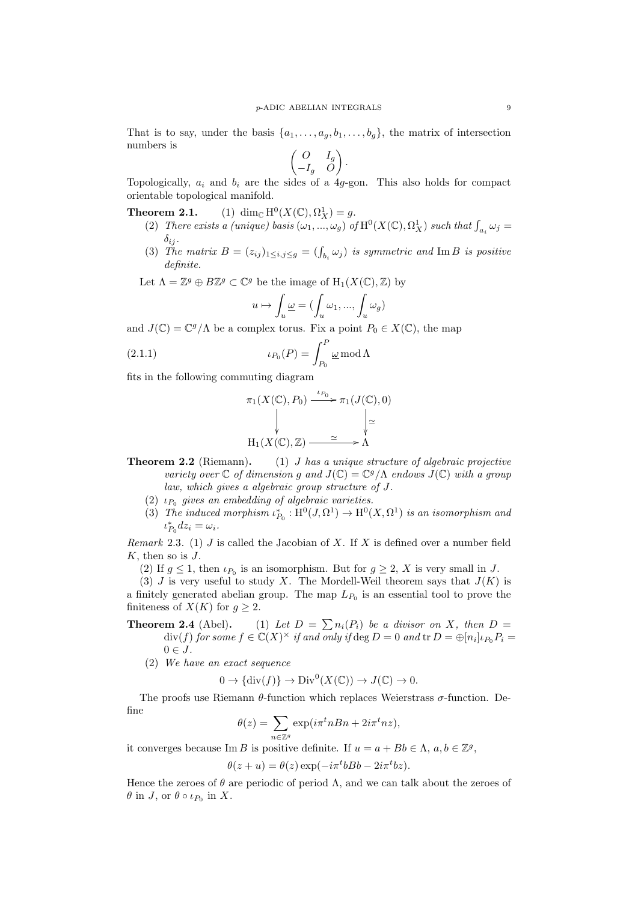That is to say, under the basis  $\{a_1, \ldots, a_g, b_1, \ldots, b_g\}$ , the matrix of intersection numbers is

$$
\begin{pmatrix} O & I_g \ -I_g & O \end{pmatrix}.
$$

Topologically,  $a_i$  and  $b_i$  are the sides of a 4*g*-gon. This also holds for compact orientable topological manifold.

**Theorem 2.1.**  $(X(\mathbb{C}), \Omega_X^1) = g.$ 

- (2) *There exists a (unique) basis*  $(\omega_1, ..., \omega_g)$  *of*  $H^0(X(\mathbb{C}), \Omega_X^1)$  *such that*  $\int_{a_i} \omega_j =$  $\delta_{ij}$ .
- (3) *The matrix*  $B = (z_{ij})_{1 \le i,j \le g} = (\int_{b_i} \omega_j)$  *is symmetric and* Im *B is positive definite.*

Let  $\Lambda = \mathbb{Z}^g \oplus B\mathbb{Z}^g \subset \mathbb{C}^g$  be the image of  $H_1(X(\mathbb{C}), \mathbb{Z})$  by

$$
u \mapsto \int_u \underline{\omega} = (\int_u \omega_1, ..., \int_u \omega_g)
$$

and  $J(\mathbb{C}) = \mathbb{C}^g/\Lambda$  be a complex torus. Fix a point  $P_0 \in X(\mathbb{C})$ , the map

(2.1.1) 
$$
\iota_{P_0}(P) = \int_{P_0}^P \underline{\omega} \mod \Lambda
$$

fits in the following commuting diagram

$$
\pi_1(X(\mathbb{C}), P_0) \xrightarrow{\iota_{P_0}} \pi_1(J(\mathbb{C}), 0)
$$
\n
$$
\downarrow \qquad \qquad \downarrow \qquad \searrow
$$
\n
$$
H_1(X(\mathbb{C}), \mathbb{Z}) \xrightarrow{\simeq} \Lambda
$$

- **Theorem 2.2** (Riemann)**.** (1) *J has a unique structure of algebraic projective variety over*  $\mathbb C$  *of dimension g and*  $J(\mathbb C) = \mathbb C^g/\Lambda$  *endows*  $J(\mathbb C)$  *with a group law, which gives a algebraic group structure of J.*
	- (2)  $\iota_{P_0}$  gives an embedding of algebraic varieties.
	- (3) *The induced morphism*  $\iota_{P_0}^* : H^0(J, \Omega^1) \to H^0(X, \Omega^1)$  *is an isomorphism and*  $\iota_{P_0}^* dz_i = \omega_i$ .

*Remark* 2.3*.* (1) *J* is called the Jacobian of *X*. If *X* is defined over a number field *K*, then so is *J*.

(2) If  $g \leq 1$ , then  $\iota_{P_0}$  is an isomorphism. But for  $g \geq 2$ , X is very small in *J*.

(3) *J* is very useful to study *X*. The Mordell-Weil theorem says that  $J(K)$  is a finitely generated abelian group. The map  $L_{P_0}$  is an essential tool to prove the finiteness of *X*(*K*) for  $g \geq 2$ .

**Theorem 2.4** (Abel). (1) Let  $D = \sum n_i(P_i)$  be a divisor on X, then  $D =$  $div(f)$  *for some*  $f \in \mathbb{C}(X)^\times$  *if and only if*  $\deg D = 0$  *and*  $tr D = \bigoplus [n_i] \iota_{P_0} P_i$  $0 \in J$ .

(2) *We have an exact sequence*

$$
0 \to {\text{div}(f)} \to {\text{Div}}^0(X(\mathbb{C})) \to J(\mathbb{C}) \to 0.
$$

The proofs use Riemann *θ*-function which replaces Weierstrass *σ*-function. Define

$$
\theta(z) = \sum_{n \in \mathbb{Z}^g} \exp(i\pi^t n B n + 2i\pi^t n z),
$$

it converges because  $\text{Im } B$  is positive definite. If  $u = a + Bb \in \Lambda$ ,  $a, b \in \mathbb{Z}^g$ ,

$$
\theta(z+u) = \theta(z) \exp(-i\pi^t b Bb - 2i\pi^t bz).
$$

Hence the zeroes of  $\theta$  are periodic of period  $\Lambda$ , and we can talk about the zeroes of *θ* in *J*, or *θ* ◦ *ι*<sub>*P*<sup>0</sup></sub> in *X*.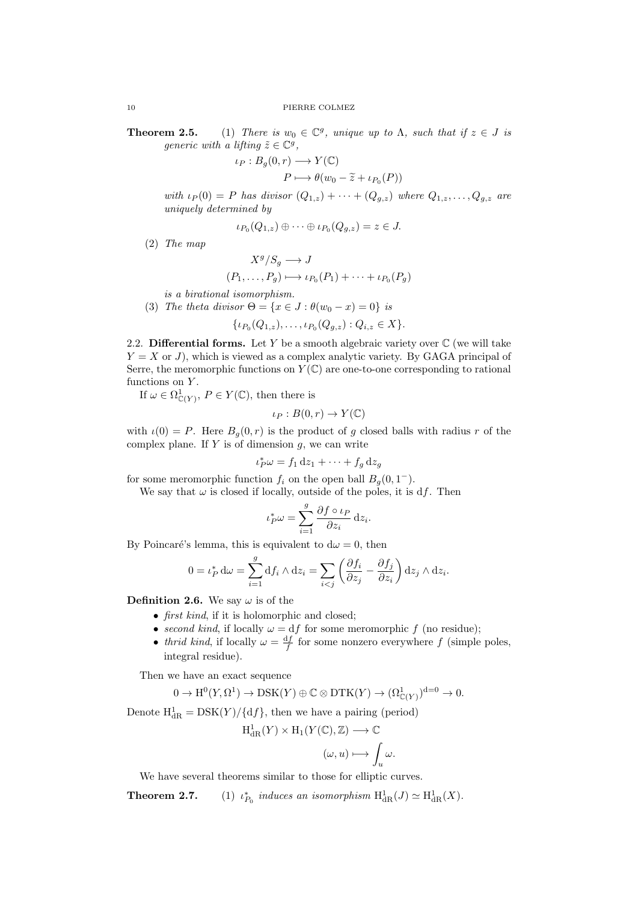**Theorem 2.5.** (1) *There is*  $w_0 \in \mathbb{C}^g$ , *unique up to*  $\Lambda$ , *such that if*  $z \in J$  *is generic with a lifting*  $\tilde{z} \in \mathbb{C}^g$ ,

$$
\iota_P: B_g(0, r) \longrightarrow Y(\mathbb{C})
$$

$$
P \longmapsto \theta(w_0 - \widetilde{z} + \iota_{P_0}(P))
$$

 $with \, \iota_P(0) = P \, \text{ has } \text{divisor} \, (Q_{1,z}) + \cdots + (Q_{q,z}) \, \text{ where } Q_{1,z}, \ldots, Q_{q,z} \, \text{ are }$ *uniquely determined by*

$$
\iota_{P_0}(Q_{1,z})\oplus\cdots\oplus\iota_{P_0}(Q_{g,z})=z\in J.
$$

(2) *The map*

$$
X^g/S_g \longrightarrow J
$$
  

$$
(P_1, \dots, P_g) \longmapsto \iota_{P_0}(P_1) + \dots + \iota_{P_0}(P_g)
$$

*is a birational isomorphism.*

(3) *The theta divisor*  $\Theta = \{x \in J : \theta(w_0 - x) = 0\}$  *is* 

$$
\{\iota_{P_0}(Q_{1,z}),\ldots,\iota_{P_0}(Q_{g,z}): Q_{i,z}\in X\}.
$$

<span id="page-9-0"></span>2.2. **Differential forms.** Let  $Y$  be a smooth algebraic variety over  $\mathbb{C}$  (we will take *Y* = *X* or *J*), which is viewed as a complex analytic variety. By GAGA principal of Serre, the meromorphic functions on  $Y(\mathbb{C})$  are one-to-one corresponding to rational functions on *Y* .

If  $\omega \in \Omega^1_{\mathbb{C}(Y)}, P \in Y(\mathbb{C})$ , then there is

$$
\iota_P: B(0,r) \to Y(\mathbb{C})
$$

with  $\iota(0) = P$ . Here  $B_q(0,r)$  is the product of g closed balls with radius r of the complex plane. If *Y* is of dimension *g*, we can write

$$
{}_{P}^{*}\omega = f_1 \, \mathrm{d}z_1 + \cdots + f_g \, \mathrm{d}z_g
$$

for some meromorphic function  $f_i$  on the open ball  $B_g(0,1^-)$ .

*ι*

We say that  $\omega$  is closed if locally, outside of the poles, it is  $df$ . Then

$$
\iota_P^*\omega = \sum_{i=1}^g \frac{\partial f \circ \iota_P}{\partial z_i} \,\mathrm{d} z_i.
$$

By Poincaré's lemma, this is equivalent to  $d\omega = 0$ , then

$$
0 = \iota_P^* d\omega = \sum_{i=1}^g \mathrm{d} f_i \wedge \mathrm{d} z_i = \sum_{i < j} \left( \frac{\partial f_i}{\partial z_j} - \frac{\partial f_j}{\partial z_i} \right) \mathrm{d} z_j \wedge \mathrm{d} z_i.
$$

**Definition 2.6.** We say  $\omega$  is of the

- *• first kind*, if it is holomorphic and closed;
- *second kind*, if locally  $\omega = df$  for some meromorphic *f* (no residue);
- *thrid kind*, if locally  $\omega = \frac{df}{f}$  for some nonzero everywhere *f* (simple poles, integral residue).

Then we have an exact sequence

$$
0 \to \mathrm{H}^0(Y, \Omega^1) \to \mathrm{DSK}(Y) \oplus \mathbb{C} \otimes \mathrm{DTK}(Y) \to (\Omega^1_{\mathbb{C}(Y)})^{\mathrm{d}=0} \to 0.
$$

Denote  $H_{dR}^1 = DSK(Y)/{df}$ , then we have a pairing (period)

$$
H^1_{\mathrm{dR}}(Y) \times H_1(Y(\mathbb{C}), \mathbb{Z}) \longrightarrow \mathbb{C}
$$

$$
(\omega, u) \longmapsto \int_u
$$

*ω.*

We have several theorems similar to those for elliptic curves.

**Theorem 2.7.**  $*_{P_0}$  *induces an isomorphism*  $H^1_{dR}(J) \simeq H^1_{dR}(X)$ .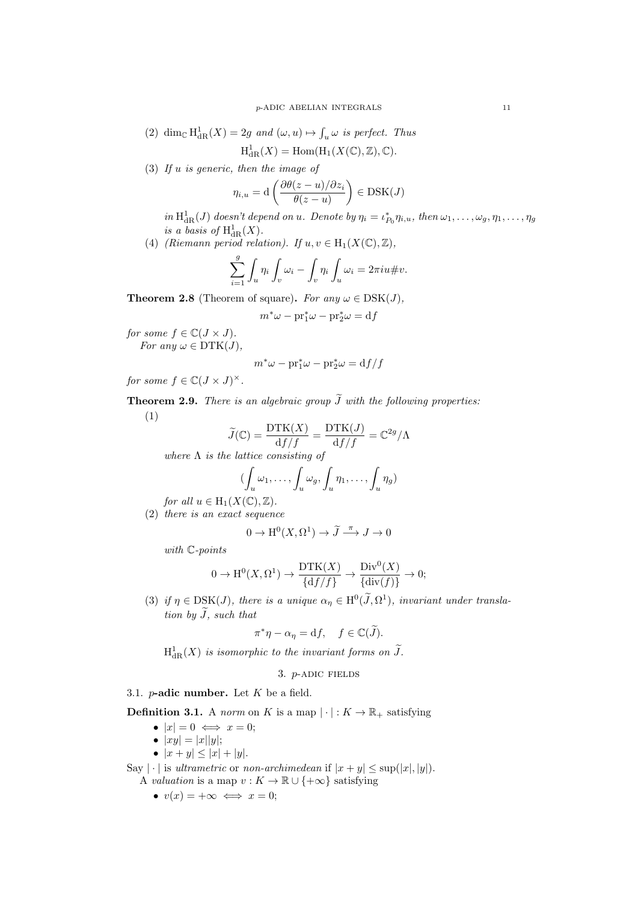(2) dim<sub>C</sub>  $H^1_{dR}(X) = 2g$  *and*  $(\omega, u) \mapsto \int_u \omega$  *is perfect. Thus* 

$$
H^1_{\mathrm{dR}}(X) = \mathrm{Hom}(\mathrm{H}_1(X(\mathbb{C}), \mathbb{Z}), \mathbb{C}).
$$

(3) *If u is generic, then the image of*

$$
\eta_{i,u} = \mathrm{d}\left(\frac{\partial \theta(z-u)/\partial z_i}{\theta(z-u)}\right) \in \mathrm{DSK}(J)
$$

in  $H^1_{dR}(J)$  doesn't depend on u. Denote by  $\eta_i = \iota_{P_0}^* \eta_{i,u}$ , then  $\omega_1, \ldots, \omega_g, \eta_1, \ldots, \eta_g$ *is a basis of*  $H^1_{dR}(X)$ .

(4) *(Riemann period relation).* If  $u, v \in H_1(X(\mathbb{C}), \mathbb{Z})$ ,

$$
\sum_{i=1}^{g} \int_{u} \eta_i \int_{v} \omega_i - \int_{v} \eta_i \int_{u} \omega_i = 2\pi i u \# v.
$$

**Theorem 2.8** (Theorem of square). *For any*  $\omega \in \text{DSK}(J)$ ,

 $m^* \omega - \text{pr}_1^* \omega - \text{pr}_2^* \omega = d f$ 

*for some*  $f \in \mathbb{C}(J \times J)$ *. For any*  $\omega \in \text{DTK}(J)$ ,

$$
m^*\omega - \text{pr}_1^*\omega - \text{pr}_2^*\omega = \text{d}f/f
$$

*for some*  $f \in \mathbb{C}(J \times J)^{\times}$ *.* 

**Theorem 2.9.** *There is an algebraic group*  $\widetilde{J}$  *with the following properties:* (1)

$$
\widetilde{J}(\mathbb{C}) = \frac{\text{DTK}(X)}{\text{d}f/f} = \frac{\text{DTK}(J)}{\text{d}f/f} = \mathbb{C}^{2g}/\Lambda
$$

*where* Λ *is the lattice consisting of*

$$
(\int_u \omega_1, \dots, \int_u \omega_g, \int_u \eta_1, \dots, \int_u \eta_g)
$$

*for all*  $u \in H_1(X(\mathbb{C}), \mathbb{Z})$ *.* (2) *there is an exact sequence*

$$
0 \times H^0(Y, \Omega^1) \times \widetilde{I}^{\pi}.
$$

$$
0 \to H^0(X, \Omega^1) \to \widetilde{J} \xrightarrow{\pi} J \to 0
$$

*with* C*-points*

$$
0 \to \mathrm{H}^0(X, \Omega^1) \to \frac{\mathrm{DTK}(X)}{\{ \mathrm{d}f/f \}} \to \frac{\mathrm{Div}^0(X)}{\{ \mathrm{div}(f) \}} \to 0;
$$

(3) if  $\eta \in \text{DSK}(J)$ , there is a unique  $\alpha_{\eta} \in \text{H}^0(\tilde{J}, \Omega^1)$ , invariant under transla*tion by*  $\widetilde{J}$ *, such that* 

$$
\pi^*\eta - \alpha_\eta = df, \quad f \in \mathbb{C}(\widetilde{J}).
$$

 $H^1_{\text{dR}}(X)$  *is isomorphic to the invariant forms on*  $\tilde{J}$ *.* 

# 3. *p*-adic fields

<span id="page-10-1"></span><span id="page-10-0"></span>3.1. *p***-adic number.** Let *K* be a field.

**Definition 3.1.** A *norm* on *K* is a map  $|\cdot|: K \to \mathbb{R}_+$  satisfying

- $|x| = 0 \iff x = 0;$
- $|xy| = |x||y|;$
- $|x + y| \leq |x| + |y|$ .

Say  $|\cdot|$  is *ultrametric* or *non-archimedean* if  $|x + y| \leq \sup(|x|, |y|)$ . A *valuation* is a map  $v : K \to \mathbb{R} \cup \{+\infty\}$  satisfying

•  $v(x) = +\infty \iff x = 0;$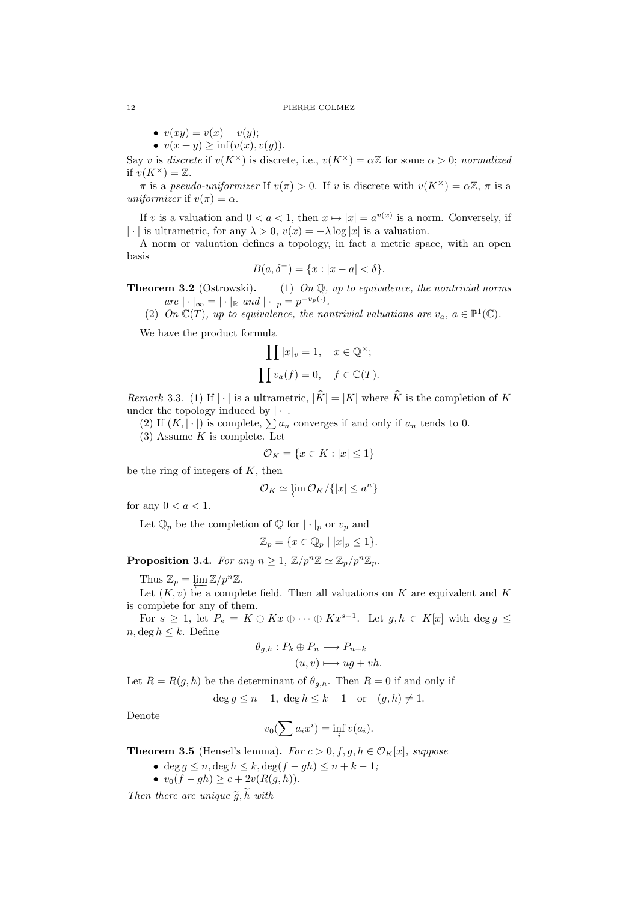#### 12 PIERRE COLMEZ

- $v(xy) = v(x) + v(y);$
- *• v*(*x* + *y*) *≥* inf(*v*(*x*)*, v*(*y*)).

Say *v* is *discrete* if  $v(K^{\times})$  is discrete, i.e.,  $v(K^{\times}) = \alpha \mathbb{Z}$  for some  $\alpha > 0$ ; *normalized* if  $v(K^{\times}) = \mathbb{Z}$ .

*π* is a *pseudo-uniformizer* If  $v(\pi) > 0$ . If *v* is discrete with  $v(K^{\times}) = \alpha \mathbb{Z}$ , *π* is a *uniformizer* if  $v(\pi) = \alpha$ .

If *v* is a valuation and  $0 < a < 1$ , then  $x \mapsto |x| = a^{v(x)}$  is a norm. Conversely, if *| · |* is ultrametric, for any  $\lambda > 0$ ,  $v(x) = -\lambda \log |x|$  is a valuation.

A norm or valuation defines a topology, in fact a metric space, with an open basis

$$
B(a, \delta^-) = \{x : |x - a| < \delta\}.
$$

**Theorem 3.2** (Ostrowski)**.** (1) *On* Q*, up to equivalence, the nontrivial norms*  $\int \text{d}x \, dx \, dx = |\cdot|_{\mathbb{R}} \text{ and } |\cdot|_{p} = p^{-v_{p}(\cdot)}$ .

(2) *On*  $\mathbb{C}(T)$ *, up to equivalence, the nontrivial valuations are*  $v_a$ *,*  $a \in \mathbb{P}^1(\mathbb{C})$ *.* 

We have the product formula

$$
\prod |x|_v = 1, \quad x \in \mathbb{Q}^\times;
$$
  

$$
\prod v_a(f) = 0, \quad f \in \mathbb{C}(T).
$$

*Remark* 3.3. (1) If  $|\cdot|$  is a ultrametric,  $|\hat{K}| = |K|$  where  $\hat{K}$  is the completion of K under the topology induced by *| · |*.

(2) If  $(K, |\cdot|)$  is complete,  $\sum a_n$  converges if and only if  $a_n$  tends to 0.

(3) Assume *K* is complete. Let

$$
\mathcal{O}_K = \{ x \in K : |x| \le 1 \}
$$

be the ring of integers of *K*, then

$$
\mathcal{O}_K \simeq \varprojlim \mathcal{O}_K / \{|x| \leq a^n\}
$$

for any  $0 < a < 1$ .

Let  $\mathbb{Q}_p$  be the completion of  $\mathbb{Q}$  for  $|\cdot|_p$  or  $v_p$  and

 $\mathbb{Z}_p = \{ x \in \mathbb{Q}_p \mid |x|_p \leq 1 \}.$ 

**Proposition 3.4.** *For any*  $n \geq 1$ ,  $\mathbb{Z}/p^n\mathbb{Z} \simeq \mathbb{Z}_p/p^n\mathbb{Z}_p$ .

Thus  $\mathbb{Z}_p = \varprojlim \mathbb{Z}/p^n \mathbb{Z}.$ 

Let  $(K, v)$  be a complete field. Then all valuations on  $K$  are equivalent and  $K$ is complete for any of them.

For  $s \geq 1$ , let  $P_s = K \oplus Kx \oplus \cdots \oplus Kx^{s-1}$ . Let  $g, h \in K[x]$  with  $\deg g \leq$  $n, \deg h \leq k$ . Define

$$
\theta_{g,h}: P_k \oplus P_n \longrightarrow P_{n+k}
$$

$$
(u,v) \longmapsto ug + vh.
$$

Let  $R = R(g, h)$  be the determinant of  $\theta_{g,h}$ . Then  $R = 0$  if and only if

 $\deg q \leq n-1$ ,  $\deg h \leq k-1$  or  $(g,h) \neq 1$ .

Denote

$$
v_0(\sum a_i x^i) = \inf_i v(a_i).
$$

<span id="page-11-0"></span>**Theorem 3.5** (Hensel's lemma). *For*  $c > 0, f, g, h \in \mathcal{O}_K[x]$ , suppose

- *•* deg *g ≤ n,* deg *h ≤ k,* deg(*f − gh*) *≤ n* + *k −* 1*;*
- *• v*0(*f − gh*) *≥ c* + 2*v*(*R*(*g, h*))*.*

*Then there are unique*  $\tilde{q}$ ,  $\tilde{h}$  *with*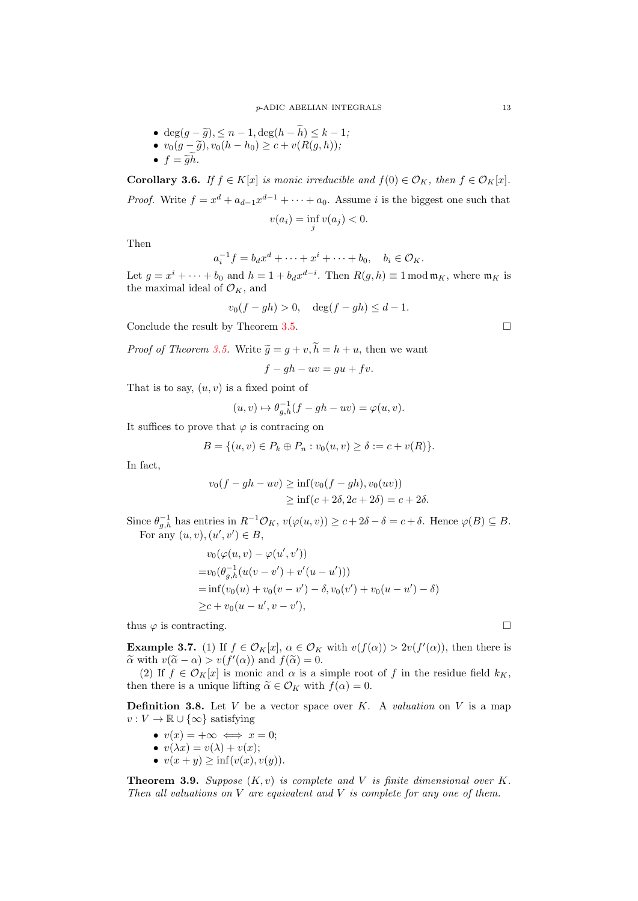- *•* deg( $g \tilde{g}$ ), ≤  $n 1$ , deg( $h \tilde{h}$ ) ≤  $k 1$ ;
- *• <sup>v</sup>*0(*<sup>g</sup> <sup>−</sup> <sup>g</sup>*e)*, v*0(*<sup>h</sup> <sup>−</sup> <sup>h</sup>*0) *<sup>≥</sup> <sup>c</sup>* <sup>+</sup> *<sup>v</sup>*(*R*(*g, h*))*;*
- $f = \tilde{g}\tilde{h}$ *.*

**Corollary 3.6.** *If*  $f \in K[x]$  *is monic irreducible and*  $f(0) \in \mathcal{O}_K$ *, then*  $f \in \mathcal{O}_K[x]$ *. Proof.* Write  $f = x^d + a_{d-1}x^{d-1} + \cdots + a_0$ . Assume *i* is the biggest one such that

$$
v(a_i) = \inf_j v(a_j) < 0.
$$

Then

$$
a_i^{-1}f = b_dx^d + \cdots + x^i + \cdots + b_0, \quad b_i \in \mathcal{O}_K.
$$

Let  $g = x^i + \cdots + b_0$  and  $h = 1 + b_d x^{d-i}$ . Then  $R(g, h) \equiv 1 \mod \mathfrak{m}_K$ , where  $\mathfrak{m}_K$  is the maximal ideal of  $\mathcal{O}_K$ , and

$$
v_0(f - gh) > 0
$$
,  $\deg(f - gh) \leq d - 1$ .

Conclude the result by Theorem 3.5.

*Proof of Theorem 3.5.* Write  $\tilde{q} = q + v, \tilde{h} = h + u$ , then we want

$$
f - gh - uv = gu + fv.
$$

That is to say, (*u, v*) is a fixed p[oint](#page-11-0) of

$$
(u, v) \mapsto \theta_{g,h}^{-1}(f - gh - uv) = \varphi(u, v).
$$

It suffices to prove that  $\varphi$  is contracing on

$$
B = \{(u, v) \in P_k \oplus P_n : v_0(u, v) \ge \delta := c + v(R)\}.
$$

In fact,

$$
v_0(f - gh - uv) \ge \inf(v_0(f - gh), v_0(uv))
$$
  
 
$$
\ge \inf(c + 2\delta, 2c + 2\delta) = c + 2\delta.
$$

Since  $\theta_{g,h}^{-1}$  has entries in  $R^{-1}\mathcal{O}_K$ ,  $v(\varphi(u,v)) \geq c+2\delta-\delta = c+\delta$ . Hence  $\varphi(B) \subseteq B$ . For any  $(u, v), (u', v') \in B$ ,

$$
v_0(\varphi(u, v) - \varphi(u', v'))
$$
  
=  $v_0(\theta_{g,h}^{-1}(u(v - v') + v'(u - u')))$   
=  $\inf(v_0(u) + v_0(v - v') - \delta, v_0(v') + v_0(u - u') - \delta)$   
 $\geq c + v_0(u - u', v - v'),$ 

thus  $\varphi$  is contracting.

**Example 3.7.** (1) If  $f \in \mathcal{O}_K[x]$ ,  $\alpha \in \mathcal{O}_K$  with  $v(f(\alpha)) > 2v(f'(\alpha))$ , then there is  $\alpha$  with  $v(\tilde{\alpha} - \alpha) > v(f'(\alpha))$  and  $f(\tilde{\alpha}) = 0$ .

(2) If  $f \in \mathcal{O}_K[x]$  is monic and  $\alpha$  is a simple root of f in the residue field  $k_K$ , then there is a unique lifting  $\widetilde{\alpha} \in \mathcal{O}_K$  with  $f(\alpha) = 0$ .

**Definition 3.8.** Let  $V$  be a vector space over  $K$ . A *valuation* on  $V$  is a map *v* : *V* →  $\mathbb{R}$  ∪ {∞} satisfying

- $v(x) = +\infty \iff x = 0;$
- $v(\lambda x) = v(\lambda) + v(x);$
- *• v*(*x* + *y*) *≥* inf(*v*(*x*)*, v*(*y*)).

**Theorem 3.9.** *Suppose*  $(K, v)$  *is complete and V is finite dimensional over*  $K$ *. Then all valuations on V are equivalent and V is complete for any one of them.*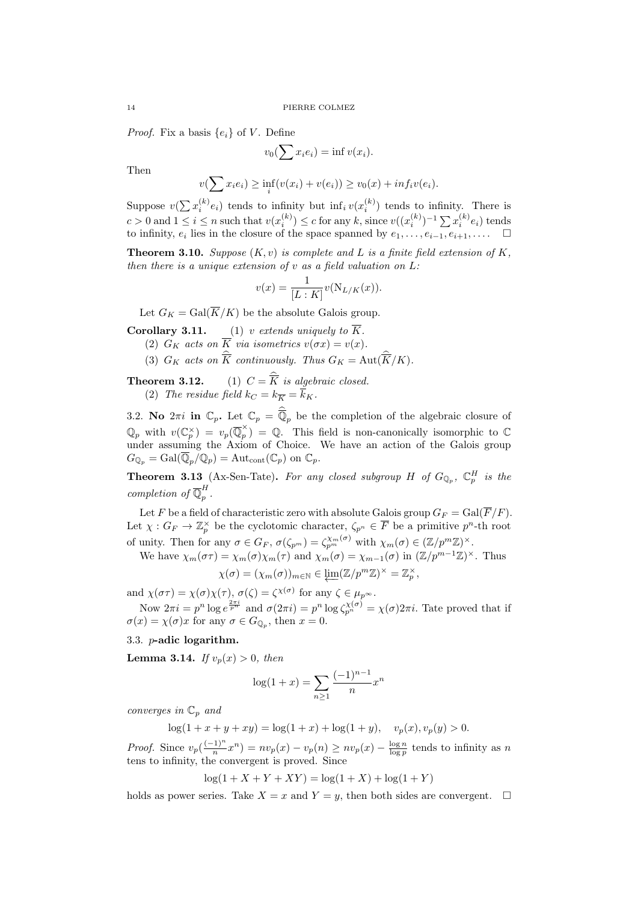*Proof.* Fix a basis  $\{e_i\}$  of *V*. Define

$$
v_0(\sum x_i e_i) = \inf v(x_i).
$$

Then

$$
v(\sum x_i e_i) \ge \inf_i (v(x_i) + v(e_i)) \ge v_0(x) + inf_i v(e_i).
$$

Suppose  $v(\sum x_i^{(k)} e_i)$  tends to infinity but  $\inf_i v(x_i^{(k)})$  tends to infinity. There is  $c > 0$  and  $1 \leq i \leq n$  such that  $v(x_i^{(k)}) \leq c$  for any k, since  $v((x_i^{(k)})^{-1} \sum x_i^{(k)} e_i)$  tends to infinity,  $e_i$  lies in the closure of the space spanned by  $e_1, \ldots, e_{i-1}, e_{i+1}, \ldots$  .  $\Box$ 

**Theorem 3.10.** *Suppose* (*K, v*) *is complete and L is a finite field extension of K, then there is a unique extension of v as a field valuation on L:*

$$
v(x) = \frac{1}{[L:K]}v(N_{L/K}(x)).
$$

Let  $G_K = \text{Gal}(\overline{K}/K)$  be the absolute Galois group.

- **Corollary 3.11.** (1) *v extends uniquely to K.*
	- (2)  $G_K$  *acts on*  $K$  *via isometrics*  $v(\sigma x) = v(x)$ *.*
	- (3)  $G_K$  acts on  $\widehat{\overline{K}}$  continuously. Thus  $G_K = \text{Aut}(\widehat{\overline{K}}/K)$ .

**Theorem 3.12.** (1)  $C = K$  *is algebraic closed.* (2) The residue field  $k_C = k_{\overline{K}} = k_K$ .

<span id="page-13-0"></span>3.2. **No**  $2\pi i$  in  $\mathbb{C}_p$ . Let  $\mathbb{C}_p = \mathbb{Q}_p$  be the completion of the algebraic closure of  $\mathbb{Q}_p$  with  $v(\mathbb{C}_p^{\times}) = v_p(\overline{\mathbb{Q}}_p^{\times})$  $p$ <sup>2</sup>) = Q. This field is non-canonically isomorphic to  $\mathbb{C}$ under assuming the Axiom of Choice. We have an action of the Galois group  $G_{\mathbb{Q}_p} = \text{Gal}(\overline{\mathbb{Q}}_p/\mathbb{Q}_p) = \text{Aut}_{\text{cont}}(\mathbb{C}_p)$  on  $\mathbb{C}_p$ .

**Theorem 3.13** (Ax-Sen-Tate). For any closed subgroup *H* of  $G_{\mathbb{Q}_p}$ ,  $\mathbb{C}_p^H$  is the *completion of*  $\overline{\mathbb{Q}}_p^H$ *p .*

Let *F* be a field of characteristic zero with absolute Galois group  $G_F = \text{Gal}(\overline{F}/F)$ . Let  $\chi: G_F \to \mathbb{Z}_p^{\times}$  be the cyclotomic character,  $\zeta_{p^n} \in \overline{F}$  be a primitive  $p^n$ -th root of unity. Then for any  $\sigma \in G_F$ ,  $\sigma(\zeta_{p^m}) = \zeta_{p^m}^{\chi_m(\sigma)}$  with  $\chi_m(\sigma) \in (\mathbb{Z}/p^m\mathbb{Z})^\times$ .

We have  $\chi_m(\sigma \tau) = \chi_m(\sigma) \chi_m(\tau)$  and  $\chi_m(\sigma) = \chi_{m-1}(\sigma)$  in  $(\mathbb{Z}/p^{m-1}\mathbb{Z})^{\times}$ . Thus

$$
\chi(\sigma) = (\chi_m(\sigma))_{m \in \mathbb{N}} \in \underleftarrow{\lim} (\mathbb{Z}/p^m \mathbb{Z})^{\times} = \mathbb{Z}_p^{\times},
$$

and  $\chi(\sigma\tau) = \chi(\sigma)\chi(\tau)$ ,  $\sigma(\zeta) = \zeta^{\chi(\sigma)}$  for any  $\zeta \in \mu_{p^{\infty}}$ .

Now  $2\pi i = p^n \log e^{\frac{2\pi i}{p^n}}$  and  $\sigma(2\pi i) = p^n \log \zeta_{p^n}^{\chi(\sigma)} = \chi(\sigma)2\pi i$ . Tate proved that if  $\sigma(x) = \chi(\sigma)x$  for any  $\sigma \in G_{\mathbb{Q}_p}$ , then  $x = 0$ .

## <span id="page-13-1"></span>3.3. *p***-adic logarithm.**

**Lemma 3.14.** *If*  $v_p(x) > 0$ *, then* 

$$
\log(1+x) = \sum_{n\geq 1} \frac{(-1)^{n-1}}{n} x^n
$$

*converges in* C*<sup>p</sup> and*

 $log(1 + x + y + xy) = log(1 + x) + log(1 + y), \quad v_p(x), v_p(y) > 0.$ 

*Proof.* Since  $v_p\left(\frac{(-1)^n}{n}\right)$  $\frac{f(1)^n}{n}x^n$  *n*  $p(x) - v_p(n) \ge nv_p(x) - \frac{\log n}{\log p}$  tends to infinity as *n* tens to infinity, the convergent is proved. Since

$$
\log(1 + X + Y + XY) = \log(1 + X) + \log(1 + Y)
$$

holds as power series. Take  $X = x$  and  $Y = y$ , then both sides are convergent.  $\square$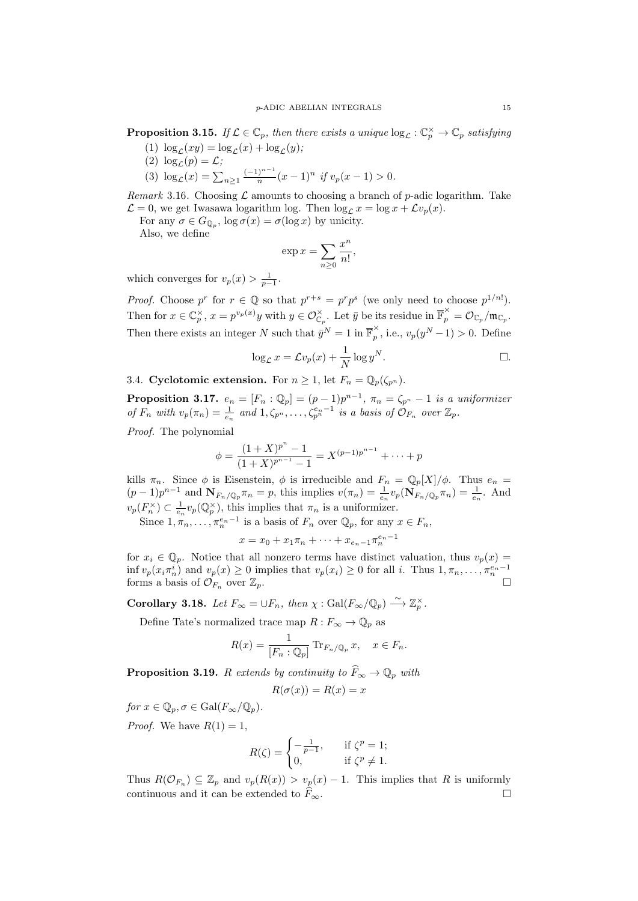**Proposition 3.15.** If  $\mathcal{L} \in \mathbb{C}_p$ , then there exists a unique  $\log_{\mathcal{L}} : \mathbb{C}_p^{\times} \to \mathbb{C}_p$  satisfying

- (1)  $\log_{\mathcal{L}}(xy) = \log_{\mathcal{L}}(x) + \log_{\mathcal{L}}(y)$ ;
- (2)  $\log_{\mathcal{L}}(p) = \mathcal{L}$ ;
- $\log_{\mathcal{L}}(x) = \sum_{n \geq 1} \frac{(-1)^{n-1}}{n}$  $\int_{n}^{n-1} (x-1)^n \text{ if } v_p(x-1) > 0.$

*Remark* 3.16. Choosing  $\mathcal{L}$  amounts to choosing a branch of *p*-adic logarithm. Take  $\mathcal{L} = 0$ , we get Iwasawa logarithm log. Then  $\log_{\mathcal{L}} x = \log x + \mathcal{L}v_p(x)$ .

For any  $\sigma \in G_{\mathbb{Q}_p}$ ,  $\log \sigma(x) = \sigma(\log x)$  by unicity.

Also, we define

$$
\exp x = \sum_{n\geq 0} \frac{x^n}{n!},
$$

which converges for  $v_p(x) > \frac{1}{p-1}$ .

*Proof.* Choose  $p^r$  for  $r \in \mathbb{Q}$  so that  $p^{r+s} = p^r p^s$  (we only need to choose  $p^{1/n!}$ ). Then for  $x \in \mathbb{C}_p^{\times}$ ,  $x = p^{v_p(x)}y$  with  $y \in \mathcal{O}_{\mathbb{C}_p}^{\times}$ . Let  $\bar{y}$  be its residue in  $\overline{\mathbb{F}}_p^{\times} = \mathcal{O}_{\mathbb{C}_p}/\mathfrak{m}_{\mathbb{C}_p}$ . Then there exists an integer *N* such that  $\bar{y}^N = 1$  in  $\overline{\mathbb{F}}_p^{\times}$  $p_p^{\times}$ , i.e.,  $v_p(y^N-1) > 0$ . Define

$$
\log_{\mathcal{L}} x = \mathcal{L} v_p(x) + \frac{1}{N} \log y^N.
$$

<span id="page-14-0"></span>3.4. **Cyclotomic extension.** For  $n \geq 1$ , let  $F_n = \mathbb{Q}_p(\zeta_{p^n})$ .

**Proposition 3.17.**  $e_n = [F_n : \mathbb{Q}_p] = (p-1)p^{n-1}, \pi_n = \zeta_{p^n} - 1$  is a uniformizer of  $F_n$  with  $v_p(\pi_n) = \frac{1}{e_n}$  and  $1, \zeta_{p^n}, \ldots, \zeta_{p^n}^{e_n-1}$  is a basis of  $\mathcal{O}_{F_n}$  over  $\mathbb{Z}_p$ .

*Proof.* The polynomial

$$
\phi = \frac{(1+X)^{p^n} - 1}{(1+X)^{p^{n-1}} - 1} = X^{(p-1)p^{n-1}} + \dots + p
$$

kills  $\pi_n$ . Since  $\phi$  is Eisenstein,  $\phi$  is irreducible and  $F_n = \mathbb{Q}_p[X]/\phi$ . Thus  $e_n =$  $(p-1)p^{n-1}$  and  $\mathbf{N}_{F_n/\mathbb{Q}_p}\pi_n = p$ , this implies  $v(\pi_n) = \frac{1}{e_n}v_p(\mathbf{N}_{F_n/\mathbb{Q}_p}\pi_n) = \frac{1}{e_n}$ . And  $v_p(F_n^{\times}) \subset \frac{1}{e_n} v_p(\mathbb{Q}_p^{\times})$ , this implies that  $\pi_n$  is a uniformizer.

Since  $1, \pi_n, \ldots, \pi_n^{e_n-1}$  is a basis of  $F_n$  over  $\mathbb{Q}_p$ , for any  $x \in F_n$ ,

$$
x = x_0 + x_1 \pi_n + \dots + x_{e_n-1} \pi_n^{e_n-1}
$$

for  $x_i \in \mathbb{Q}_p$ . Notice that all nonzero terms have distinct valuation, thus  $v_p(x) =$  $\inf v_p(x_i \pi_n^i)$  and  $v_p(x) \ge 0$  implies that  $v_p(x_i) \ge 0$  for all i. Thus  $1, \pi_n, \ldots, \pi_n^{e_n-1}$ forms a basis of  $\mathcal{O}_{F_n}$  over  $\mathbb{Z}_p$ .

**Corollary 3.18.** Let  $F_{\infty} = \bigcup F_n$ , then  $\chi : \text{Gal}(F_{\infty}/\mathbb{Q}_p) \stackrel{\sim}{\longrightarrow} \mathbb{Z}_p^{\times}$ .

Define Tate's normalized trace map  $R: F_{\infty} \to \mathbb{Q}_p$  as

$$
R(x) = \frac{1}{[F_n : \mathbb{Q}_p]} \operatorname{Tr}_{F_n/\mathbb{Q}_p} x, \quad x \in F_n.
$$

**Proposition 3.19.** *R extends by continuity to*  $F_\infty \to \mathbb{Q}_p$  *with* 

$$
R(\sigma(x)) = R(x) = x
$$

*for*  $x \in \mathbb{Q}_p$ ,  $\sigma \in \text{Gal}(F_\infty/\mathbb{Q}_p)$ .

*Proof.* We have  $R(1) = 1$ ,

$$
R(\zeta) = \begin{cases} -\frac{1}{p-1}, & \text{if } \zeta^p = 1; \\ 0, & \text{if } \zeta^p \neq 1. \end{cases}
$$

Thus  $R(\mathcal{O}_{F_n}) \subseteq \mathbb{Z}_p$  and  $v_p(R(x)) > v_p(x) - 1$ . This implies that *R* is uniformly continuous and it can be extended to  $F_{\infty}$ .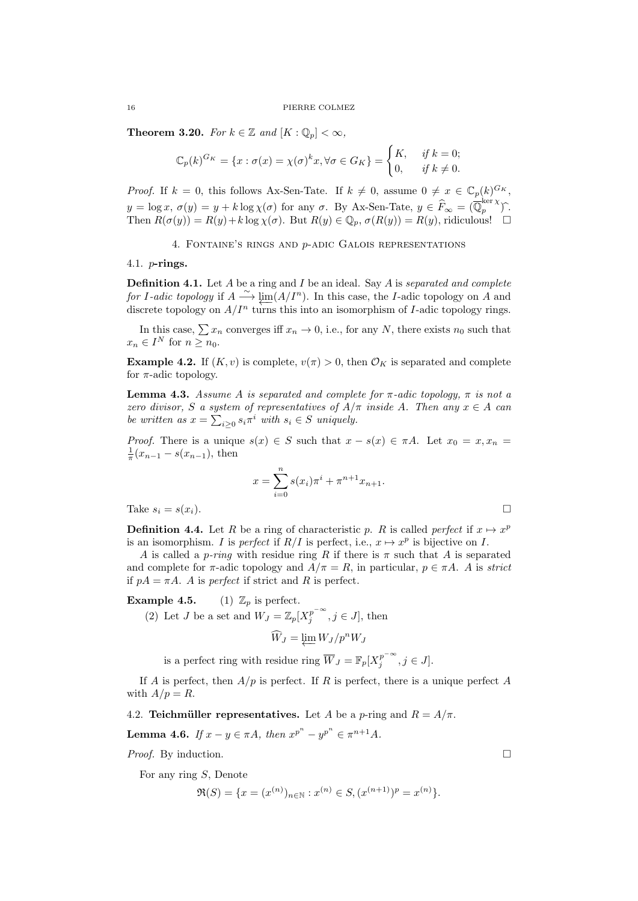**Theorem 3.20.** *For*  $k \in \mathbb{Z}$  *and*  $[K : \mathbb{Q}_p] < \infty$ *,* 

$$
\mathbb{C}_p(k)^{G_K} = \{x : \sigma(x) = \chi(\sigma)^k x, \forall \sigma \in G_K\} = \begin{cases} K, & \text{if } k = 0; \\ 0, & \text{if } k \neq 0. \end{cases}
$$

*Proof.* If  $k = 0$ , this follows Ax-Sen-Tate. If  $k \neq 0$ , assume  $0 \neq x \in \mathbb{C}_p(k)^{G_K}$ ,  $y = \log x$ ,  $\sigma(y) = y + k \log \chi(\sigma)$  for any  $\sigma$ . By Ax-Sen-Tate,  $y \in \widehat{F}_{\infty} = (\overline{\mathbb{Q}}_p^{\ker \chi})$  $\int_{p}^{\infty}$ Then  $R(\sigma(y)) = R(y) + k \log \chi(\sigma)$ . But  $R(y) \in \mathbb{Q}_p$ ,  $\sigma(R(y)) = R(y)$ , ridiculous!

4. Fontaine's rings and *p*-adic Galois representations

<span id="page-15-1"></span><span id="page-15-0"></span>4.1. *p***-rings.**

**Definition 4.1.** Let *A* be a ring and *I* be an ideal. Say *A* is *separated and complete for I-adic topology* if  $A \xrightarrow{\sim} \lim_{\epsilon \to 0} (A/I^n)$ . In this case, the *I*-adic topology on *A* and discrete topology on  $A/I^n$  turns this into an isomorphism of *I*-adic topology rings.

In this case,  $\sum x_n$  converges iff  $x_n \to 0$ , i.e., for any *N*, there exists  $n_0$  such that  $x_n \in I^N$  for  $n \geq n_0$ .

**Example 4.2.** If  $(K, v)$  is complete,  $v(\pi) > 0$ , then  $\mathcal{O}_K$  is separated and complete for  $\pi$ -adic topology.

**Lemma 4.3.** *Assume A is separated and complete for*  $\pi$ -adic topology,  $\pi$  *is not a zero divisor, S a system of representatives of*  $A/\pi$  *inside A. Then any*  $x \in A$  *can be written as*  $x = \sum_{i \geq 0} s_i \pi^i$  *with*  $s_i \in S$  *uniquely.* 

*Proof.* There is a unique  $s(x) \in S$  such that  $x - s(x) \in \pi A$ . Let  $x_0 = x, x_n =$  $\frac{1}{\pi}(x_{n-1} - s(x_{n-1}), \text{ then}$ 

$$
x = \sum_{i=0}^{n} s(x_i)\pi^i + \pi^{n+1}x_{n+1}.
$$

Take  $s_i = s(x_i)$ .

**Definition 4.4.** Let *R* be a ring of characteristic *p*. *R* is called *perfect* if  $x \mapsto x^p$ is an isomorphism. *I* is *perfect* if  $R/I$  is perfect, i.e.,  $x \mapsto x^p$  is bijective on *I*.

*A* is called a *p*-*ring* with residue ring *R* if there is  $\pi$  such that *A* is separated and complete for  $\pi$ -adic topology and  $A/\pi = R$ , in particular,  $p \in \pi A$ . *A* is *strict* if  $pA = \pi A$ . *A* is *perfect* if strict and *R* is perfect.

**Example 4.5.** (1)  $\mathbb{Z}_p$  is perfect.

(2) Let *J* be a set and  $W_J = \mathbb{Z}_p[X_j^{p^{-\infty}}, j \in J]$ , then

$$
\widehat{W}_J = \varprojlim W_J / p^n W_J
$$

is a perfect ring with residue ring  $\overline{W}_J = \mathbb{F}_p[X_j^{p^{-\infty}}, j \in J].$ 

If *A* is perfect, then *A/p* is perfect. If *R* is perfect, there is a unique perfect *A* with  $A/p = R$ .

<span id="page-15-2"></span>4.2. **Teichmüller representatives.** Let *A* be a *p*-ring and  $R = A/\pi$ .

**Lemma 4.6.** *If*  $x - y \in \pi A$ *, then*  $x^{p^n} - y^{p^n} \in \pi^{n+1}A$ *.* 

*Proof.* By induction. □

For any ring *S*, Denote

$$
\Re(S) = \{x = (x^{(n)})_{n \in \mathbb{N}} : x^{(n)} \in S, (x^{(n+1)})^p = x^{(n)}\}.
$$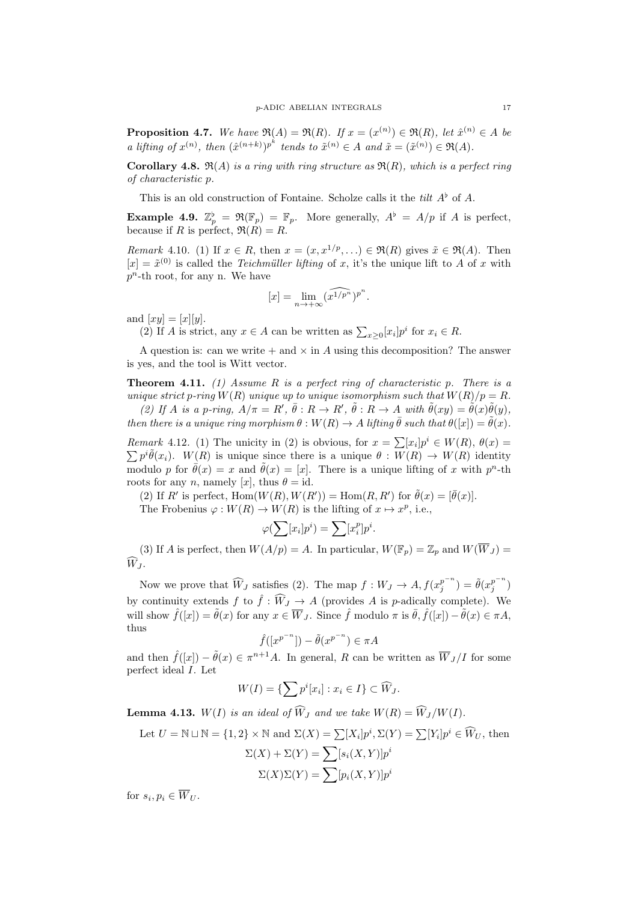**Proposition 4.7.** *We have*  $\Re(A) = \Re(R)$ *. If*  $x = (x^{(n)}) \in \Re(R)$ *, let*  $\hat{x}^{(n)} \in A$  *be* a lifting of  $x^{(n)}$ , then  $(\hat{x}^{(n+k)})^{p^k}$  tends to  $\tilde{x}^{(n)} \in A$  and  $\tilde{x} = (\tilde{x}^{(n)}) \in \Re(A)$ .

**Corollary 4.8.**  $\mathfrak{R}(A)$  *is a ring with ring structure as*  $\mathfrak{R}(R)$ *, which is a perfect ring of characteristic p.*

This is an old construction of Fontaine. Scholze calls it the *tilt A♭* of *A*.

**Example 4.9.**  $\mathbb{Z}_p^{\flat} = \Re(\mathbb{F}_p) = \mathbb{F}_p$ . More generally,  $A^{\flat} = A/p$  if *A* is perfect, because if *R* is perfect,  $\Re(R) = R$ .

*Remark* 4.10. (1) If  $x \in R$ , then  $x = (x, x^{1/p}, ...) \in \Re(R)$  gives  $\tilde{x} \in \Re(A)$ . Then  $[x] = \tilde{x}^{(0)}$  is called the *Teichmüller lifting* of *x*, it's the unique lift to *A* of *x* with *p <sup>n</sup>*-th root, for any n. We have

$$
[x] = \lim_{n \to +\infty} (\widehat{x^{1/p^n}})^{p^n}.
$$

and  $[xy] = [x][y]$ .

(2) If *A* is strict, any  $x \in A$  can be written as  $\sum_{x \geq 0} [x_i] p^i$  for  $x_i \in R$ .

A question is: can we write  $+$  and  $\times$  in A using this decomposition? The answer is yes, and the tool is Witt vector.

**Theorem 4.11.** *(1) Assume R is a perfect ring of characteristic p. There is a unique strict p-ring*  $W(R)$  *unique up to unique isomorphism such that*  $W(R)/p = R$ *.* (2) If A is a p-ring,  $A/\pi = R'$ ,  $\bar{\theta}: R \to R'$ ,  $\tilde{\theta}: R \to A$  with  $\tilde{\theta}(xy) = \tilde{\theta}(x)\tilde{\theta}(y)$ ,

*then there is a unique ring morphism*  $\theta : W(R) \to A$  *lifting*  $\bar{\theta}$  *such that*  $\theta([x]) = \bar{\theta}(x)$ *.* 

*Remark* 4.12. (1) The unicity in (2) is obvious, for  $x = \sum [x_i] p^i \in W(R)$ ,  $\theta(x) =$  $\sum p^{i} \tilde{\theta}(x_i)$ .  $W(R)$  is unique since there is a unique  $\theta : W(R) \to W(R)$  identity modulo *p* for  $\bar{\theta}(x) = x$  and  $\tilde{\theta}(x) = [x]$ . There is a unique lifting of *x* with  $p^n$ -th roots for any *n*, namely [*x*], thus  $\theta = id$ .

(2) If *R'* is perfect,  $\text{Hom}(W(R), W(R')) = \text{Hom}(R, R')$  for  $\tilde{\theta}(x) = [\bar{\theta}(x)].$ 

The Frobenius  $\varphi : W(R) \to W(R)$  is the lifting of  $x \mapsto x^p$ , i.e.,

$$
\varphi(\sum [x_i]p^i) = \sum [x_i^p]p^i.
$$

(3) If *A* is perfect, then  $W(A/p) = A$ . In particular,  $W(\mathbb{F}_p) = \mathbb{Z}_p$  and  $W(\overline{W}_J) =$  $\widehat{W}_I$ .

Now we prove that  $\widehat{W}_J$  satisfies (2). The map  $f: W_J \to A, f(x_j^{p^{-n}})$  $\hat{\theta}(x_j^{p^{-n}}) = \hat{\theta}(x_j^{p^{-n}})$  $\binom{p}{j}$ by continuity extends  $f$  to  $\hat{f}: \widehat{W}_J \to A$  (provides *A* is *p*-adically complete). We will show  $\hat{f}([x]) = \tilde{\theta}(x)$  for any  $x \in \overline{W}_J$ . Since  $\hat{f}$  modulo  $\pi$  is  $\bar{\theta}, \hat{f}([x]) - \tilde{\theta}(x) \in \pi A$ . thus

$$
\hat{f}([x^{p^{-n}}]) - \tilde{\theta}(x^{p^{-n}}) \in \pi A
$$

and then  $\hat{f}([x]) - \tilde{\theta}(x) \in \pi^{n+1}A$ . In general, R can be written as  $\overline{W}_J/I$  for some perfect ideal *I*. Let

$$
W(I) = \{ \sum p^i [x_i] : x_i \in I \} \subset \widehat{W}_J.
$$

<span id="page-16-0"></span>**Lemma 4.13.**  $W(I)$  is an ideal of  $\widehat{W}_J$  and we take  $W(R) = \widehat{W}_J/W(I)$ .

Let 
$$
U = \mathbb{N} \sqcup \mathbb{N} = \{1, 2\} \times \mathbb{N}
$$
 and  $\Sigma(X) = \sum [X_i]p^i, \Sigma(Y) = \sum [Y_i]p^i \in \widehat{W}_U$ , then  
\n
$$
\Sigma(X) + \Sigma(Y) = \sum [s_i(X, Y)]p^i
$$
\n
$$
\Sigma(X)\Sigma(Y) = \sum [p_i(X, Y)]p^i
$$

for  $s_i, p_i \in W_U$ .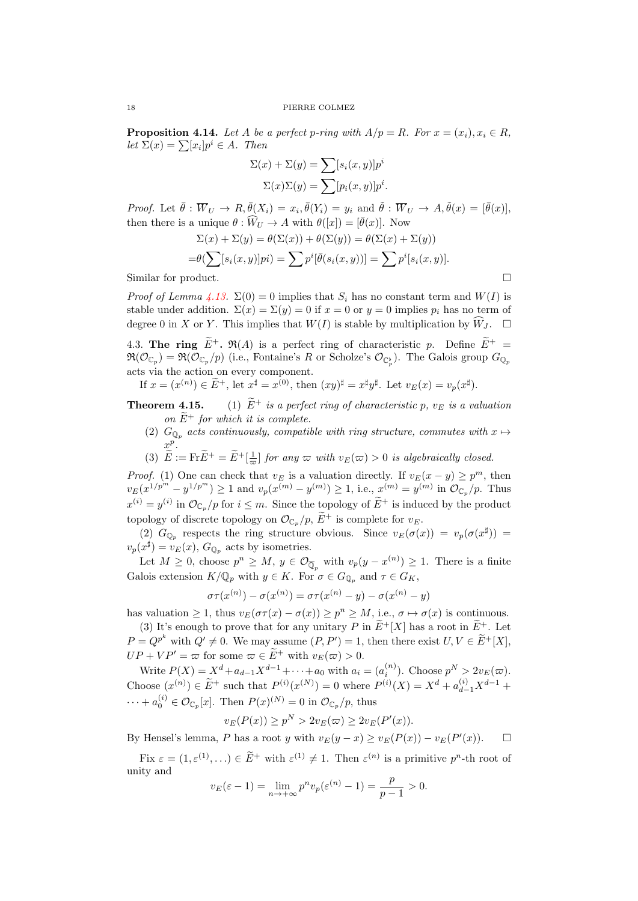**Proposition 4.14.** Let A be a perfect p-ring with  $A/p = R$ *. For*  $x = (x_i), x_i \in R$ ,  $let \Sigma(x) = \sum [x_i] p^i \in A$ *. Then* 

$$
\Sigma(x) + \Sigma(y) = \sum [s_i(x, y)]p^i
$$
  

$$
\Sigma(x)\Sigma(y) = \sum [p_i(x, y)]p^i.
$$

*Proof.* Let  $\bar{\theta}$ :  $\overline{W}_U \to R$ ,  $\bar{\theta}(X_i) = x_i$ ,  $\bar{\theta}(Y_i) = y_i$  and  $\tilde{\theta}$ :  $\overline{W}_U \to A$ ,  $\tilde{\theta}(x) = [\bar{\theta}(x)]$ , then there is a unique  $\theta : \widehat{W}_U \to A$  with  $\theta([x]) = [\overline{\theta}(x)]$ . Now

$$
\Sigma(x) + \Sigma(y) = \theta(\Sigma(x)) + \theta(\Sigma(y)) = \theta(\Sigma(x) + \Sigma(y))
$$

$$
= \theta(\sum [s_i(x, y)]pi) = \sum p^i [\bar{\theta}(s_i(x, y))] = \sum p^i [s_i(x, y)].
$$

Similar for product.

*Proof of Lemma 4.13.*  $\Sigma(0) = 0$  implies that  $S_i$  has no constant term and  $W(I)$  is stable under addition.  $\Sigma(x) = \Sigma(y) = 0$  if  $x = 0$  or  $y = 0$  implies  $p_i$  has no term of degree 0 in *X* or *Y*. This implies that  $W(I)$  is stable by multiplication by  $\widehat{W}_J$ .  $\Box$ 

4.3. **Th[e](#page-16-0) ring**  $\widetilde{E}^+$ ,  $\Re(A)$  is a perfect ring of characteristic *p*. Define  $\widetilde{E}^+$  =  $\mathfrak{R}(\mathcal{O}_{\mathbb{C}_p}) = \mathfrak{R}(\mathcal{O}_{\mathbb{C}_p}/p)$  (i.e., Fontaine's *R* or Scholze's  $\mathcal{O}_{\mathbb{C}_p^b}$ ). The Galois group  $G_{\mathbb{Q}_p}$ acts via the action on every component.

If  $x = (x^{(n)}) \in \tilde{E}^+$ , let  $x^{\sharp} = x^{(0)}$ , then  $(xy)^{\sharp} = x^{\sharp}y^{\sharp}$ . Let  $v_E(x) = v_p(x^{\sharp})$ .

- <span id="page-17-0"></span>**Theorem 4.15.** (1)  $\widetilde{E}^+$  *is a perfect ring of characteristic p, v<sub>E</sub> <i>is a valuation on*  $E^+$  *for which it is complete.* 
	- (2)  $G_{\mathbb{Q}_p}$  *acts continuously, compatible with ring structure, commutes with*  $x \mapsto$ *x p .*
	- (3)  $\widetilde{E} := \text{Fr}\widetilde{E}^+ = \widetilde{E}^+[\frac{1}{\varpi}]$  *for any*  $\varpi$  *with*  $v_E(\varpi) > 0$  *is algebraically closed.*

*Proof.* (1) One can check that  $v_E$  is a valuation directly. If  $v_E(x - y) \geq p^m$ , then  $v_E(x^{1/p^{m'}}-y^{1/p^m}) \ge 1$  and  $v_p(x^{(m)}-y^{(m)}) \ge 1$ , i.e.,  $x^{(m)}=y^{(m)}$  in  $\mathcal{O}_{\mathbb{C}_p}/p$ . Thus  $x^{(i)} = y^{(i)}$  in  $\mathcal{O}_{\mathbb{C}_p}/p$  for  $i \leq m$ . Since the topology of  $E^+$  is induced by the product topology of discrete topology on  $\mathcal{O}_{\mathbb{C}_p}/p$ ,  $\widetilde{E}^+$  is complete for  $v_E$ .

(2)  $G_{\mathbb{Q}_p}$  respects the ring structure obvious. Since  $v_E(\sigma(x)) = v_p(\sigma(x^{\sharp}))$  $v_p(x^{\sharp}) = v_E(x)$ ,  $G_{\mathbb{Q}_p}$  acts by isometries.

Let  $M \geq 0$ , choose  $p^n \geq M$ ,  $y \in \mathcal{O}_{\overline{\mathbb{Q}}_p}$  with  $v_p(y - x^{(n)}) \geq 1$ . There is a finite Galois extension  $K/\mathbb{Q}_p$  with  $y \in K$ . For  $\sigma \in G_{\mathbb{Q}_p}$  and  $\tau \in G_K$ ,

$$
\sigma \tau(x^{(n)}) - \sigma(x^{(n)}) = \sigma \tau(x^{(n)} - y) - \sigma(x^{(n)} - y)
$$

has valuation  $\geq 1$ , thus  $v_E(\sigma \tau(x) - \sigma(x)) \geq p^n \geq M$ , i.e.,  $\sigma \mapsto \sigma(x)$  is continuous.

(3) It's enough to prove that for any unitary *P* in  $\widetilde{E}^{+}[X]$  has a root in  $\widetilde{E}^{+}$ . Let  $P = Q^{p^k}$  with  $Q' \neq 0$ . We may assume  $(P, P') = 1$ , then there exist  $U, V \in \widetilde{E}^+[X]$ ,  $UP + VP' = \varpi$  for some  $\varpi \in \widetilde{E}^+$  with  $v_E(\varpi) > 0$ .

Write  $P(X) = X^d + a_{d-1}X^{d-1} + \cdots + a_0$  with  $a_i = (a_i^{(n)})$ . Choose  $p^N > 2v_E(\varpi)$ . Choose  $(x^{(n)}) \in \widetilde{E}^+$  such that  $P^{(i)}(x^{(N)}) = 0$  where  $P^{(i)}(X) = X^d + a_{d-1}^{(i)} X^{d-1} +$  $\cdots + a_0^{(i)} \in \mathcal{O}_{\mathbb{C}_p}[x]$ . Then  $P(x)^{(N)} = 0$  in  $\mathcal{O}_{\mathbb{C}_p}/p$ , thus

$$
v_E(P(x)) \ge p^N > 2v_E(\varpi) \ge 2v_E(P'(x)).
$$

By Hensel's lemma, *P* has a root *y* with  $v_E(y-x) \ge v_E(P(x)) - v_E(P'(x))$ .  $\Box$ 

Fix  $\varepsilon = (1, \varepsilon^{(1)}, \ldots) \in \tilde{E}^+$  with  $\varepsilon^{(1)} \neq 1$ . Then  $\varepsilon^{(n)}$  is a primitive  $p^n$ -th root of unity and

$$
v_E(\varepsilon - 1) = \lim_{n \to +\infty} p^n v_p(\varepsilon^{(n)} - 1) = \frac{p}{p - 1} > 0.
$$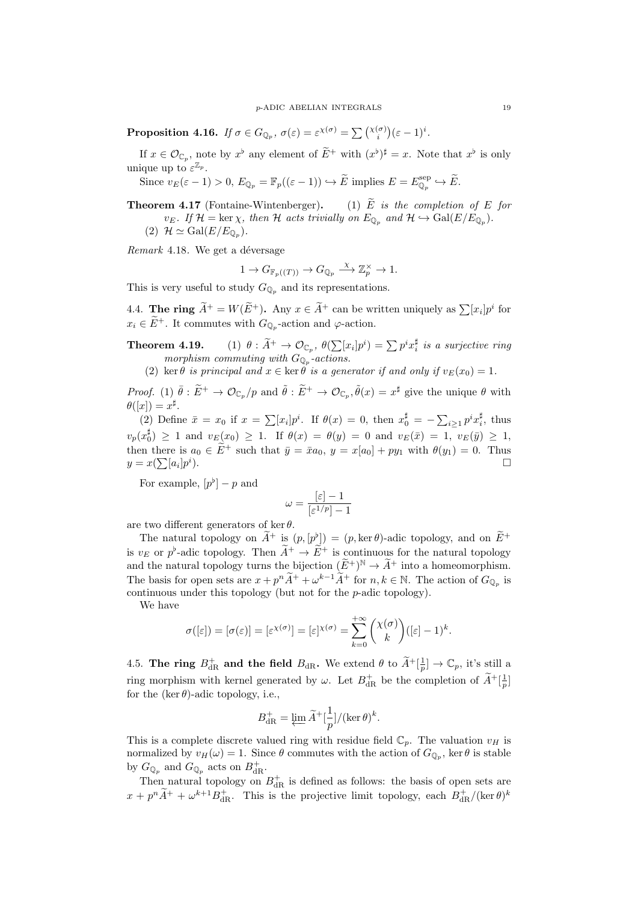**Proposition 4.16.** *If*  $\sigma \in G_{\mathbb{Q}_p}$ ,  $\sigma(\varepsilon) = \varepsilon^{\chi(\sigma)} = \sum_{i}^{\chi(\sigma)}(\varepsilon - 1)^i$ .

If  $x \in \mathcal{O}_{\mathbb{C}_p}$ , note by  $x^{\flat}$  any element of  $E^+$  with  $(x^{\flat})^{\sharp} = x$ . Note that  $x^{\flat}$  is only unique up to  $\varepsilon^{\mathbb{Z}_p}$ .

Since  $v_E(\varepsilon - 1) > 0$ ,  $E_{\mathbb{Q}_p} = \mathbb{F}_p((\varepsilon - 1)) \hookrightarrow \widetilde{E}$  implies  $E = E_{\mathbb{Q}_p}^{\text{sep}}$  $\mathbb{Q}_p^{\text{sep}} \hookrightarrow E.$ 

**Theorem 4.17** (Fontaine-Wintenberger). (1)  $\widetilde{E}$  *is the completion of*  $E$  *for*  $v_E$ *. If*  $\mathcal{H} = \ker \chi$ *, then*  $\mathcal{H}$  *acts trivially on*  $E_{\mathbb{Q}_p}$  *and*  $\mathcal{H} \hookrightarrow \text{Gal}(E/E_{\mathbb{Q}_p})$ *.*  $(2)$  *H*  $\simeq$  Gal $(E/E_{\mathbb{Q}_p})$ .

*Remark* 4.18*.* We get a déversage

$$
1 \to G_{\mathbb{F}_p((T))} \to G_{\mathbb{Q}_p} \xrightarrow{\chi} \mathbb{Z}_p^{\times} \to 1.
$$

This is very useful to study  $G_{\mathbb{Q}_p}$  and its representations.

<span id="page-18-0"></span>4.4. **The ring**  $\widetilde{A}^+ = W(\widetilde{E}^+)$ . Any  $x \in \widetilde{A}^+$  can be written uniquely as  $\sum [x_i]p^i$  for  $x_i \in E^+$ . It commutes with  $G_{\mathbb{Q}_p}$ -action and  $\varphi$ -action.

**Theorem 4.19.** (1)  $\theta : \widetilde{A}^+ \to \mathcal{O}_{\mathbb{C}_p}, \ \theta(\sum [x_i]p^i) = \sum p^i x_i^{\sharp}$  is a surjective ring *morphism commuting with*  $G_{\mathbb{Q}_p}$ -actions.

(2) ker *θ is principal and*  $x \in \text{ker } \theta$  *is a generator if and only if*  $v_E(x_0) = 1$ *.* 

*Proof.* (1)  $\bar{\theta}$  :  $\tilde{E}^+ \to \mathcal{O}_{\mathbb{C}_p}/p$  and  $\tilde{\theta}$  :  $\tilde{E}^+ \to \mathcal{O}_{\mathbb{C}_p}, \tilde{\theta}(x) = x^{\sharp}$  give the unique  $\theta$  with  $\theta([x]) = x^{\sharp}$ .

(2) Define  $\bar{x} = x_0$  if  $x = \sum [x_i] p^i$ . If  $\theta(x) = 0$ , then  $x_0^{\sharp} = -\sum_{i \geq 1} p^i x_i^{\sharp}$ , thus  $v_p(x_0^{\sharp}) \geq 1$  and  $v_E(x_0) \geq 1$ . If  $\theta(x) = \theta(y) = 0$  and  $v_E(\bar{x}) = 1$ ,  $v_E(\bar{y}) \geq 1$ , then there is  $a_0 \in \tilde{E}^+$  such that  $\bar{y} = \bar{x}a_0$ ,  $y = x[a_0] + py_1$  with  $\theta(y_1) = 0$ . Thus  $y = x(\sum a_i)p^i$ ).  $\Box$ 

For example,  $[p^{\flat}] - p$  and

$$
\omega=\frac{[\varepsilon]-1}{[\varepsilon^{1/p}]-1}
$$

are two different generators of ker *θ*.

The natural topology on  $\tilde{A}^+$  is  $(p, [p^b]) = (p, \ker \theta)$ -adic topology, and on  $\tilde{E}^+$ is  $v_E$  or  $p^b$ -adic topology. Then  $A^+ \to E^+$  is continuous for the natural topology and the natural topology turns the bijection  $(E^+)^N \to \tilde{A}^+$  into a homeomorphism. The basis for open sets are  $x + p^n A^+ + \omega^{k-1} A^+$  for  $n, k \in \mathbb{N}$ . The action of  $G_{\mathbb{Q}_p}$  is continuous under this topology (but not for the *p*-adic topology).

We have

$$
\sigma([\varepsilon]) = [\sigma(\varepsilon)] = [\varepsilon^{\chi(\sigma)}] = [\varepsilon]^{\chi(\sigma)} = \sum_{k=0}^{+\infty} {\chi(\sigma) \choose k} ([\varepsilon] - 1)^k.
$$

<span id="page-18-1"></span>4.5. **The ring**  $B_{\text{dR}}^+$  and the field  $B_{\text{dR}}$ . We extend  $\theta$  to  $\widetilde{A}^+[\frac{1}{p}] \to \mathbb{C}_p$ , it's still a ring morphism with kernel generated by  $\omega$ . Let  $B_{dR}^+$  be the completion of  $\widetilde{A}^+[\frac{1}{p}]$ for the  $(\ker \theta)$ -adic topology, i.e.,

$$
B_{\mathrm{dR}}^+ = \varprojlim \widetilde{A}^+[\frac{1}{p}]/(\ker \theta)^k.
$$

This is a complete discrete valued ring with residue field  $\mathbb{C}_p$ . The valuation  $v_H$  is normalized by  $v_H(\omega) = 1$ . Since  $\theta$  commutes with the action of  $G_{\mathbb{Q}_p}$ , ker  $\theta$  is stable by  $G_{\mathbb{Q}_p}$  and  $G_{\mathbb{Q}_p}$  acts on  $B^+_{\text{dR}}$ .

Then natural topology on  $B_{\text{dR}}^+$  is defined as follows: the basis of open sets are  $x + p^{n} \widetilde{A}^{+} + \omega^{k+1} B_{dR}^{+}$ . This is the projective limit topology, each  $B_{dR}^{+}/(\ker \theta)^{k}$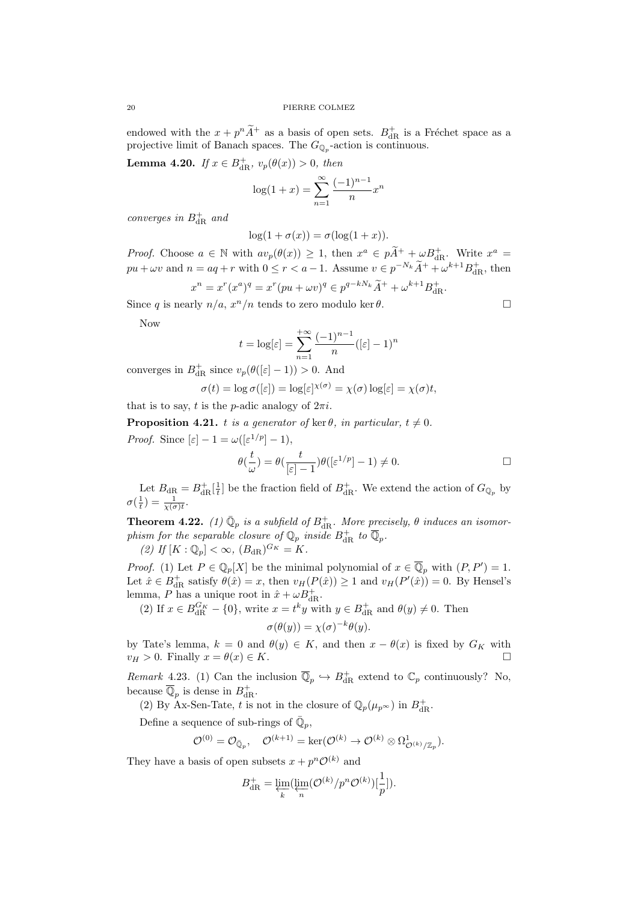endowed with the  $x + p^{n}\widetilde{A}^{+}$  as a basis of open sets.  $B_{dR}^{+}$  is a Fréchet space as a projective limit of Banach spaces. The  $G_{\mathbb{Q}_p}$ -action is continuous.

**Lemma 4.20.** *If*  $x \in B_{\text{dR}}^+$ ,  $v_p(\theta(x)) > 0$ , then

$$
\log(1+x) = \sum_{n=1}^{\infty} \frac{(-1)^{n-1}}{n} x^n
$$

*converges in*  $B_{\text{dR}}^{+}$  *and* 

$$
\log(1 + \sigma(x)) = \sigma(\log(1 + x)).
$$

*Proof.* Choose  $a \in \mathbb{N}$  with  $av_p(\theta(x)) \geq 1$ , then  $x^a \in p\widetilde{A}^+ + \omega B_{dR}^+$ . Write  $x^a =$  $pu + \omega v$  and  $n = aq + r$  with  $0 \le r < a - 1$ . Assume  $v \in p^{-N_k} \tilde{A}^+ + \omega^{k+1} B_{\mathrm{dR}}^+$ , then

$$
x^{n} = x^{r}(x^{a})^{q} = x^{r}(pu + \omega v)^{q} \in p^{q-kN_{k}}\tilde{A}^{+} + \omega^{k+1}B_{dR}^{+}.
$$

Since *q* is nearly  $n/a$ ,  $x^n/n$  tends to zero modulo ker  $\theta$ .

Now

$$
t = \log[\varepsilon] = \sum_{n=1}^{+\infty} \frac{(-1)^{n-1}}{n} ([\varepsilon] - 1)^n
$$

converges in  $B_{\text{dR}}^{+}$  since  $v_p(\theta([\varepsilon] - 1)) > 0$ . And

$$
\sigma(t) = \log \sigma([\varepsilon]) = \log[\varepsilon]^{\chi(\sigma)} = \chi(\sigma) \log[\varepsilon] = \chi(\sigma)t,
$$

that is to say, *t* is the *p*-adic analogy of  $2\pi i$ .

**Proposition 4.21.** *t is a generator of* ker  $\theta$ *, in particular,*  $t \neq 0$ *.* 

*Proof.* Since  $[\varepsilon] - 1 = \omega([\varepsilon^{1/p}] - 1),$ 

$$
\theta(\frac{t}{\omega})=\theta(\frac{t}{[\varepsilon]-1})\theta([\varepsilon^{1/p}]-1)\neq 0.\qquad \qquad \Box
$$

Let  $B_{\text{dR}} = B_{\text{dR}}^+ \left[ \frac{1}{t} \right]$  be the fraction field of  $B_{\text{dR}}^+$ . We extend the action of  $G_{\mathbb{Q}_p}$  by  $\sigma(\frac{1}{t}) = \frac{1}{\chi(\sigma)t}.$ 

**Theorem 4.22.** (1)  $\overline{\mathbb{Q}}_p$  *is a subfield of*  $B_{\text{dR}}^+$ . More precisely,  $\theta$  *induces an isomorphism for the separable closure of*  $\mathbb{Q}_p$  *inside*  $B_{\mathrm{dR}}^+$  *to*  $\overline{\mathbb{Q}}_p$ *.* 

 $(2)$  *If*  $[K : \mathbb{Q}_p] < \infty$ ,  $(B_{\rm dR})^{G_K} = K$ .

*Proof.* (1) Let  $P \in \mathbb{Q}_p[X]$  be the minimal polynomial of  $x \in \overline{\mathbb{Q}}_p$  with  $(P, P') = 1$ . Let  $\hat{x} \in B_{\text{dR}}^{+}$  satisfy  $\theta(\hat{x}) = x$ , then  $v_H(P(\hat{x})) \ge 1$  and  $v_H(P'(\hat{x})) = 0$ . By Hensel's lemma, *P* has a unique root in  $\hat{x} + \omega B_{\text{dR}}^+$ .

(2) If  $x \in B_{\text{dR}}^{G_K} - \{0\}$ , write  $x = t^k y$  with  $y \in B_{\text{dR}}^+$  and  $\theta(y) \neq 0$ . Then

$$
\sigma(\theta(y)) = \chi(\sigma)^{-k}\theta(y).
$$

by Tate's lemma,  $k = 0$  and  $\theta(y) \in K$ , and then  $x - \theta(x)$  is fixed by  $G_K$  with  $v_H > 0$ . Finally  $x = \theta(x) \in K$ .

*Remark* 4.23. (1) Can the inclusion  $\overline{\mathbb{Q}}_p \hookrightarrow B_{\text{dR}}^+$  extend to  $\mathbb{C}_p$  continuously? No, because  $\overline{\mathbb{Q}}_p$  is dense in  $B_{\text{dR}}^+$ .

(2) By Ax-Sen-Tate, *t* is not in the closure of  $\mathbb{Q}_p(\mu_{p^\infty})$  in  $B_{\mathrm{dR}}^+$ .

Define a sequence of sub-rings of  $\overline{\mathbb{Q}}_p$ ,

$$
\mathcal{O}^{(0)} = \mathcal{O}_{\bar{\mathbb{Q}}_p}, \quad \mathcal{O}^{(k+1)} = \ker(\mathcal{O}^{(k)} \to \mathcal{O}^{(k)} \otimes \Omega^1_{\mathcal{O}^{(k)}/\mathbb{Z}_p}).
$$

They have a basis of open subsets  $x + p^n \mathcal{O}^{(k)}$  and

$$
B_{\mathrm{dR}}^+=\varprojlim_k(\varprojlim_n(\mathcal{O}^{(k)}/p^n\mathcal{O}^{(k)})[\frac{1}{p}]).
$$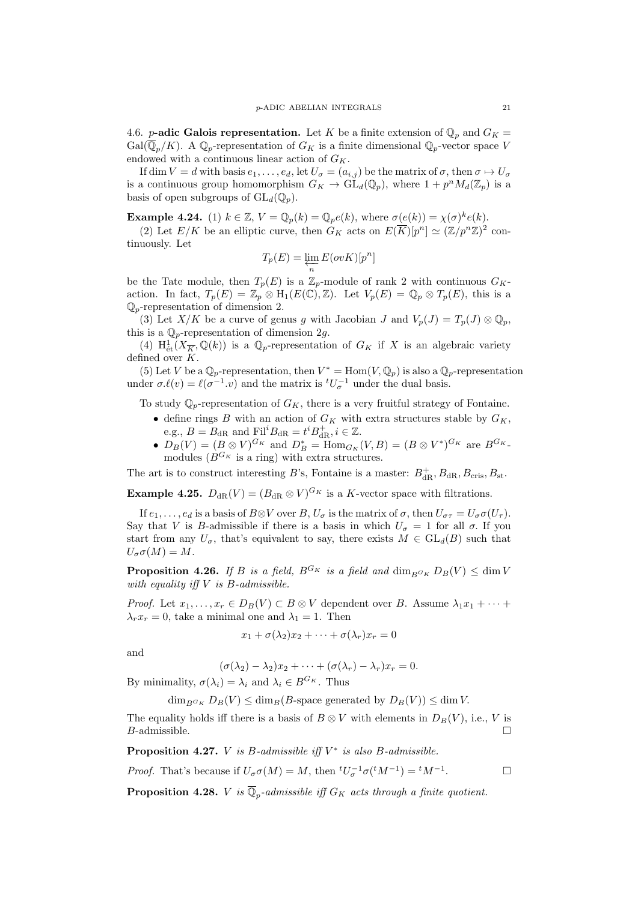<span id="page-20-0"></span>4.6. *p***-adic Galois representation.** Let *K* be a finite extension of  $\mathbb{Q}_p$  and  $G_K =$ Gal( $\overline{\mathbb{Q}}_n/K$ ). A  $\mathbb{Q}_p$ -representation of  $G_K$  is a finite dimensional  $\mathbb{Q}_p$ -vector space *V* endowed with a continuous linear action of  $G_K$ .

If dim  $V = d$  with basis  $e_1, \ldots, e_d$ , let  $U_{\sigma} = (a_{i,j})$  be the matrix of  $\sigma$ , then  $\sigma \mapsto U_{\sigma}$ is a continuous group homomorphism  $G_K \to \mathrm{GL}_d(\mathbb{Q}_p)$ , where  $1 + p^n M_d(\mathbb{Z}_p)$  is a basis of open subgroups of  $GL_d(\mathbb{Q}_p)$ .

**Example 4.24.** (1)  $k \in \mathbb{Z}$ ,  $V = \mathbb{Q}_p(k) = \mathbb{Q}_p(e(k))$ , where  $\sigma(e(k)) = \chi(\sigma)^k e(k)$ .

(2) Let  $E/K$  be an elliptic curve, then  $G_K$  acts on  $E(\overline{K})[p^n] \simeq (\mathbb{Z}/p^n\mathbb{Z})^2$  continuously. Let

$$
T_p(E) = \varprojlim_n E(ovK)[p^n]
$$

be the Tate module, then  $T_p(E)$  is a  $\mathbb{Z}_p$ -module of rank 2 with continuous  $G_K$ action. In fact,  $T_p(E) = \mathbb{Z}_p \otimes H_1(E(\mathbb{C}), \mathbb{Z})$ . Let  $V_p(E) = \mathbb{Q}_p \otimes T_p(E)$ , this is a  $\mathbb{Q}_p$ -representation of dimension 2.

(3) Let  $X/K$  be a curve of genus g with Jacobian J and  $V_p(J) = T_p(J) \otimes \mathbb{Q}_p$ , this is a Q*p*-representation of dimension 2*g*.

(4)  $H^1_{\text{\'et}}(X_{\overline{K}}, \mathbb{Q}(k))$  is a  $\mathbb{Q}_p$ -representation of  $G_K$  if X is an algebraic variety defined over *K*.

(5) Let *V* be a  $\mathbb{Q}_p$ -representation, then  $V^* = \text{Hom}(V, \mathbb{Q}_p)$  is also a  $\mathbb{Q}_p$ -representation under  $\sigma \ell(v) = \ell(\sigma^{-1} \cdot v)$  and the matrix is  ${}^tU_{\sigma}^{-1}$  under the dual basis.

To study  $\mathbb{Q}_p$ -representation of  $G_K$ , there is a very fruitful strategy of Fontaine.

- define rings *B* with an action of  $G_K$  with extra structures stable by  $G_K$ , e.g.,  $B = B_{\text{dR}}$  and  $\text{Fil}^i B_{\text{dR}} = t^i B_{\text{dR}}^+, i \in \mathbb{Z}$ .
- $D_B(V) = (B \otimes V)^{G_K}$  and  $D_B^* = \text{Hom}_{G_K}(V, B) = (B \otimes V^*)^{G_K}$  are  $B^{G_K}$ . modules  $(B^{G_K}$  is a ring) with extra structures.

The art is to construct interesting *B*'s, Fontaine is a master:  $B_{\text{dR}}^+$ ,  $B_{\text{dR}}$ ,  $B_{\text{cris}}$ ,  $B_{\text{st}}$ .

**Example 4.25.**  $D_{dR}(V) = (B_{dR} \otimes V)^{G_K}$  is a *K*-vector space with filtrations.

If  $e_1, \ldots, e_d$  is a basis of  $B \otimes V$  over  $B, U_{\sigma}$  is the matrix of  $\sigma$ , then  $U_{\sigma\tau} = U_{\sigma}\sigma(U_{\tau})$ . Say that *V* is *B*-admissible if there is a basis in which  $U_{\sigma} = 1$  for all  $\sigma$ . If you start from any  $U_{\sigma}$ , that's equivalent to say, there exists  $M \in GL_d(B)$  such that  $U_{\sigma}\sigma(M) = M$ .

**Proposition 4.26.** *If B is a field,*  $B^{G_K}$  *is a field and*  $\dim_{B^{G_K}} D_B(V) < \dim V$ *with equality iff V is B-admissible.*

*Proof.* Let  $x_1, \ldots, x_r \in D_B(V) \subset B \otimes V$  dependent over *B*. Assume  $\lambda_1 x_1 + \cdots +$  $\lambda_r x_r = 0$ , take a minimal one and  $\lambda_1 = 1$ . Then

$$
x_1 + \sigma(\lambda_2)x_2 + \cdots + \sigma(\lambda_r)x_r = 0
$$

and

$$
(\sigma(\lambda_2) - \lambda_2)x_2 + \cdots + (\sigma(\lambda_r) - \lambda_r)x_r = 0.
$$

By minimality,  $\sigma(\lambda_i) = \lambda_i$  and  $\lambda_i \in B^{G_K}$ . Thus

 $\dim_{B} G_K D_B(V) \leq \dim_B (B\text{-space generated by } D_B(V)) \leq \dim V.$ 

The equality holds iff there is a basis of  $B \otimes V$  with elements in  $D_B(V)$ , i.e., *V* is *B*-admissible. □

**Proposition 4.27.** *V is B-admissible iff V ∗ is also B-admissible.*

*Proof.* That's because if  $U_{\sigma}\sigma(M) = M$ , then  ${}^{t}U_{\sigma}^{-1}\sigma({}^{t}M^{-1}) = {}^{t}M^{-1}$  $\Box$ 

**Proposition 4.28.** *V is*  $\mathbb{Q}_p$ -admissible iff  $G_K$  acts through a finite quotient.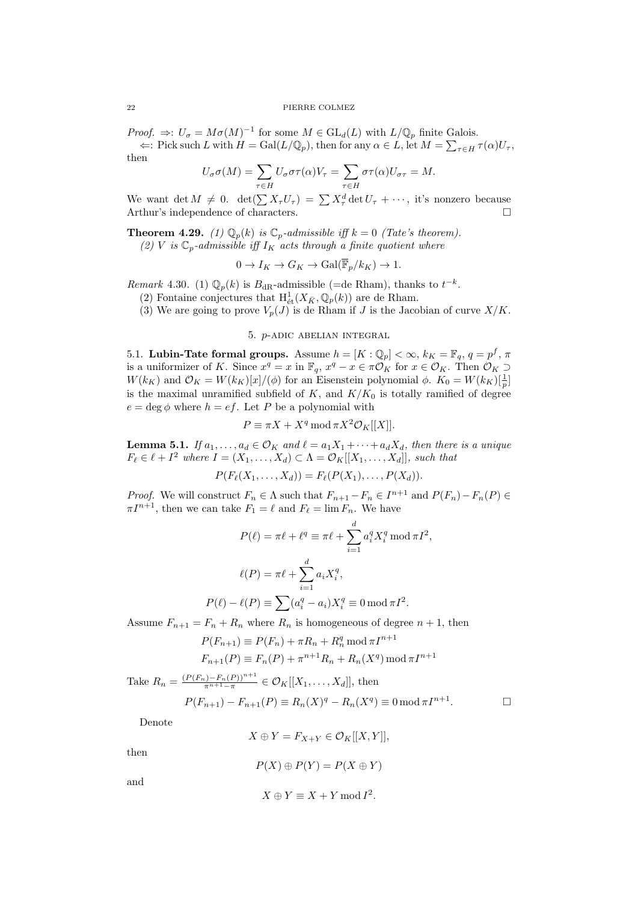*Proof.*  $\Rightarrow$ :  $U_{\sigma} = M\sigma(M)^{-1}$  for some  $M \in GL_d(L)$  with  $L/\mathbb{Q}_p$  finite Galois.  $\Leftarrow$ : Pick such *L* with  $H = \text{Gal}(L/\mathbb{Q}_p)$ , then for any  $\alpha \in L$ , let  $M = \sum_{\tau \in H} \tau(\alpha)U_\tau$ , then

$$
U_{\sigma}\sigma(M) = \sum_{\tau \in H} U_{\sigma}\sigma\tau(\alpha)V_{\tau} = \sum_{\tau \in H} \sigma\tau(\alpha)U_{\sigma\tau} = M.
$$

We want det  $M \neq 0$ . det $(\sum X_{\tau}U_{\tau}) = \sum X_{\tau}^{d} \det U_{\tau} + \cdots$ , it's nonzero because Arthur's independence of characters.

**Theorem 4.29.** *(1)*  $\mathbb{Q}_p(k)$  *is*  $\mathbb{C}_p$ *-admissible iff*  $k = 0$  *(Tate's theorem).* 

(2) V is 
$$
\mathbb{C}_p
$$
-admissible iff  $I_K$  acts through a finite quotient where

$$
0 \to I_K \to G_K \to \text{Gal}(\mathbb{F}_p/k_K) \to 1.
$$

*Remark* 4.30. (1)  $\mathbb{Q}_p(k)$  is  $B_{\text{dR}}$ -admissible (=de Rham), thanks to  $t^{-k}$ .

(2) Fontaine conjectures that  $H^1_{\text{\'et}}(X_{\bar K}, \mathbb{Q}_p(k))$  are de Rham.

(3) We are going to prove  $V_p(J)$  is de Rham if *J* is the Jacobian of curve  $X/K$ .

# 5. *p*-adic abelian integral

<span id="page-21-1"></span><span id="page-21-0"></span>5.1. **Lubin-Tate formal groups.** Assume  $h = [K : \mathbb{Q}_p] < \infty, k_K = \mathbb{F}_q, q = p^f, \pi$ is a uniformizer of *K*. Since  $x^q = x$  in  $\mathbb{F}_q$ ,  $x^q - x \in \pi \mathcal{O}_K$  for  $x \in \mathcal{O}_K$ . Then  $\mathcal{O}_K \supset$ *W*(*k<sub>K</sub>*) and  $\mathcal{O}_K = W(k_K)[x]/(\phi)$  for an Eisenstein polynomial  $\phi$ .  $K_0 = W(k_K)[\frac{1}{p}]$ is the maximal unramified subfield of  $K$ , and  $K/K_0$  is totally ramified of degree  $e = \deg \phi$  where  $h = ef$ . Let *P* be a polynomial with

$$
P \equiv \pi X + X^q \operatorname{mod} \pi X^2 \mathcal{O}_K[[X]].
$$

**Lemma 5.1.** *If*  $a_1, \ldots, a_d \in \mathcal{O}_K$  *and*  $\ell = a_1 X_1 + \cdots + a_d X_d$ , *then there is a unique*  $F_{\ell} \in \ell + I^2$  where  $I = (X_1, \ldots, X_d) \subset \Lambda = \mathcal{O}_K[[X_1, \ldots, X_d]],$  such that

$$
P(F_{\ell}(X_1,\ldots,X_d))=F_{\ell}(P(X_1),\ldots,P(X_d)).
$$

*Proof.* We will construct  $F_n \in \Lambda$  such that  $F_{n+1} - F_n \in I^{n+1}$  and  $P(F_n) - F_n(P) \in$  $\pi I^{n+1}$ , then we can take  $F_1 = \ell$  and  $F_\ell = \lim F_n$ . We have

$$
P(\ell) = \pi \ell + \ell^{q} \equiv \pi \ell + \sum_{i=1}^{d} a_i^q X_i^q \mod \pi I^2,
$$

$$
\ell(P) = \pi \ell + \sum_{i=1}^{d} a_i X_i^q,
$$

$$
P(\ell) - \ell(P) \equiv \sum_{i=1}^{d} (a_i^q - a_i) X_i^q \equiv 0 \mod \pi I^2.
$$

Assume  $F_{n+1} = F_n + R_n$  where  $R_n$  is homogeneous of degree  $n+1$ , then

$$
P(F_{n+1}) \equiv P(F_n) + \pi R_n + R_n^q \mod \pi I^{n+1}
$$
  

$$
F_{n+1}(P) \equiv F_n(P) + \pi^{n+1} R_n + R_n(X^q) \mod \pi I^{n+1}
$$

Take 
$$
R_n = \frac{(P(F_n) - F_n(P))^{n+1}}{\pi^{n+1} - \pi} \in \mathcal{O}_K[[X_1, \dots, X_d]],
$$
 then  
\n
$$
P(F_{n+1}) - F_{n+1}(P) \equiv R_n(X)^q - R_n(X^q) \equiv 0 \mod \pi I^{n+1}.
$$

Denote

$$
X \oplus Y = F_{X+Y} \in \mathcal{O}_K[[X,Y]],
$$

then

$$
P(X) \oplus P(Y) = P(X \oplus Y)
$$

and

$$
X \oplus Y \equiv X + Y \bmod I^2.
$$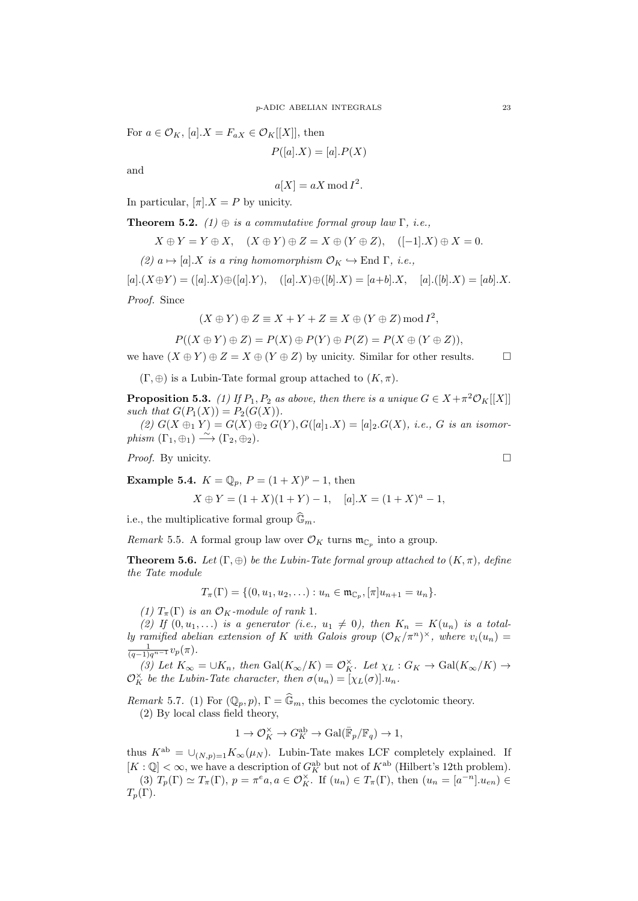For  $a \in \mathcal{O}_K$ ,  $[a].X = F_{aX} \in \mathcal{O}_K[[X]]$ , then

$$
P([a].X) = [a].P(X)
$$

and

$$
a[X] = aX \bmod I^2.
$$

In particular,  $[\pi] \cdot X = P$  by unicity.

**Theorem 5.2.**  $(1) \oplus$  *is a commutative formal group law*  $\Gamma$ *, i.e.,* 

$$
X \oplus Y = Y \oplus X, \quad (X \oplus Y) \oplus Z = X \oplus (Y \oplus Z), \quad ([-1].X) \oplus X = 0.
$$

 $(2)$   $a \mapsto [a]$ *.X is a ring homomorphism*  $\mathcal{O}_K \hookrightarrow$  End  $\Gamma$ *, i.e.*,

 $[a](X \oplus Y) = ([a], X) \oplus ([a], Y), \quad ([a], X) \oplus ([b], X) = [a+b], X, \quad [a], ([b], X) = [ab], X.$ *Proof.* Since

$$
(X \oplus Y) \oplus Z \equiv X + Y + Z \equiv X \oplus (Y \oplus Z) \bmod I^2,
$$

$$
P((X \oplus Y) \oplus Z) = P(X) \oplus P(Y) \oplus P(Z) = P(X \oplus (Y \oplus Z)),
$$

we have  $(X \oplus Y) \oplus Z = X \oplus (Y \oplus Z)$  by unicity. Similar for other results.  $\square$ 

 $(\Gamma, \oplus)$  is a Lubin-Tate formal group attached to  $(K, \pi)$ .

**Proposition 5.3.** *(1)* If  $P_1, P_2$  *as above, then there is a unique*  $G \in X + \pi^2 \mathcal{O}_K[[X]]$ *such that*  $G(P_1(X)) = P_2(G(X))$ .

 $(2) G(X \oplus_1 Y) = G(X) \oplus_2 G(Y), G([a]_1.X) = [a]_2.G(X),$  *i.e.*, *G is an isomor-* $\overrightarrow{phism}$   $(\Gamma_1, \oplus_1) \stackrel{\sim}{\longrightarrow} (\Gamma_2, \oplus_2)$ .

*Proof.* By unicity.

**Example 5.4.** 
$$
K = \mathbb{Q}_p
$$
,  $P = (1 + X)^p - 1$ , then

$$
X \oplus Y = (1 + X)(1 + Y) - 1, \quad [a].X = (1 + X)^{a} - 1,
$$

i.e., the multiplicative formal group  $\widehat{\mathbb{G}}_m$ .

*Remark* 5.5. A formal group law over  $\mathcal{O}_K$  turns  $\mathfrak{m}_{\mathbb{C}_p}$  into a group.

**Theorem 5.6.** *Let*  $(\Gamma, \oplus)$  *be the Lubin-Tate formal group attached to*  $(K, \pi)$ *, define the Tate module*

$$
T_{\pi}(\Gamma) = \{ (0, u_1, u_2, \ldots) : u_n \in \mathfrak{m}_{\mathbb{C}_p}, [\pi]u_{n+1} = u_n \}.
$$

*(1)*  $T_{\pi}(\Gamma)$  *is an*  $\mathcal{O}_K$ *-module of rank* 1*.* 

(2) If  $(0, u_1, \ldots)$  *is a generator* (*i.e.*,  $u_1 \neq 0$ ), then  $K_n = K(u_n)$  *is a totally ramified abelian extension of K with Galois group*  $(\mathcal{O}_K/\pi^n)^{\times}$ *, where*  $v_i(u_n)$  $\frac{1}{(q-1)q^{n-1}}v_p(\pi)$ .

(3) Let  $K_{\infty} = \bigcup K_n$ , then  $Gal(K_{\infty}/K) = \mathcal{O}_K^{\times}$ . Let  $\chi_L : G_K \to Gal(K_{\infty}/K) \to$  $\mathcal{O}_K^{\times}$  *be the Lubin-Tate character, then*  $\sigma(u_n) = [\chi_L(\sigma)].u_n$ .

*Remark* 5.7. (1) For  $(\mathbb{Q}_p, p)$ ,  $\Gamma = \widehat{\mathbb{G}}_m$ , this becomes the cyclotomic theory. (2) By local class field theory,

$$
1 \to \mathcal{O}_K^\times \to G_K^{\text{ab}} \to \text{Gal}(\bar{\mathbb{F}}_p/\mathbb{F}_q) \to 1,
$$

thus  $K^{ab} = \bigcup_{(N,p)=1} K_{\infty}(\mu_N)$ . Lubin-Tate makes LCF completely explained. If  $[K: \mathbb{Q}] < \infty$ , we have a description of  $G_K^{\text{ab}}$  but not of  $K^{\text{ab}}$  (Hilbert's 12th problem).

(3)  $T_p(\Gamma) \simeq T_\pi(\Gamma)$ ,  $p = \pi^e a, a \in \mathcal{O}_K^{\times}$ . If  $(u_n) \in T_\pi(\Gamma)$ , then  $(u_n = [a^{-n}] \cdot u_{en}) \in$  $T_p(\Gamma)$ .

$$
\qquad \qquad \Box
$$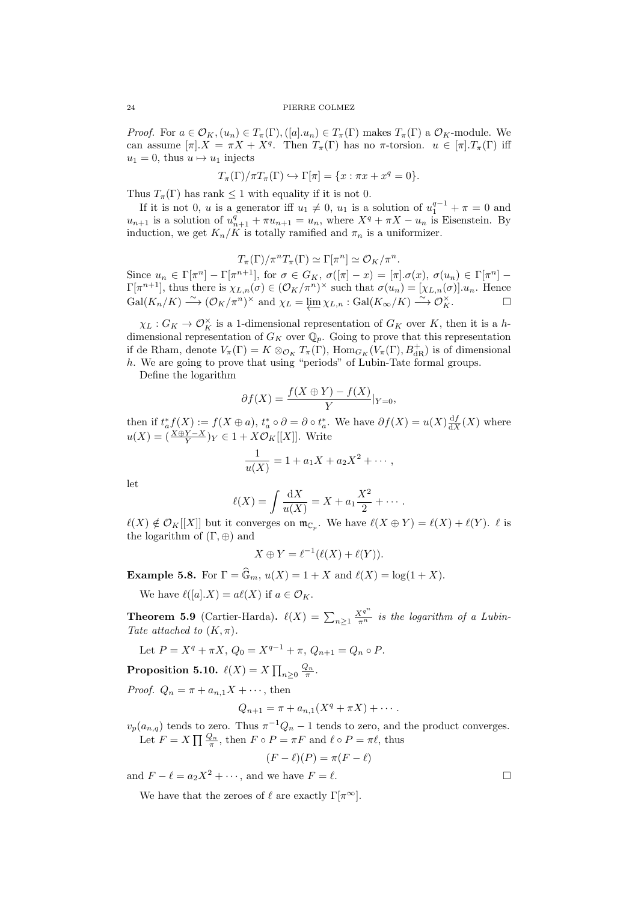*Proof.* For  $a \in \mathcal{O}_K$ ,  $(u_n) \in T_\pi(\Gamma)$ ,  $([a].u_n) \in T_\pi(\Gamma)$  makes  $T_\pi(\Gamma)$  a  $\mathcal{O}_K$ -module. We can assume  $[\pi] \cdot X = \pi X + X^q$ . Then  $T_\pi(\Gamma)$  has no  $\pi$ -torsion.  $u \in [\pi] \cdot T_\pi(\Gamma)$  iff  $u_1 = 0$ , thus  $u \mapsto u_1$  injects

$$
T_{\pi}(\Gamma)/\pi T_{\pi}(\Gamma) \hookrightarrow \Gamma[\pi] = \{x : \pi x + x^q = 0\}.
$$

Thus  $T_{\pi}(\Gamma)$  has rank  $\leq 1$  with equality if it is not 0.

If it is not 0, *u* is a generator iff  $u_1 \neq 0$ ,  $u_1$  is a solution of  $u_1^{q-1} + \pi = 0$  and  $u_{n+1}$  is a solution of  $u_{n+1}^q + \pi u_{n+1} = u_n$ , where  $X^q + \pi X - u_n$  is Eisenstein. By induction, we get  $K_n/K$  is totally ramified and  $\pi_n$  is a uniformizer.

$$
T_{\pi}(\Gamma)/\pi^n T_{\pi}(\Gamma) \simeq \Gamma[\pi^n] \simeq \mathcal{O}_K/\pi^n.
$$

Since  $u_n \in \Gamma[\pi^n] - \Gamma[\pi^{n+1}],$  for  $\sigma \in G_K$ ,  $\sigma([\pi] - x) = [\pi] \cdot \sigma(x), \sigma(u_n) \in \Gamma[\pi^n] \Gamma[\pi^{n+1}]$ , thus there is  $\chi_{L,n}(\sigma) \in (\mathcal{O}_K/\pi^n)^\times$  such that  $\sigma(u_n) = [\chi_{L,n}(\sigma)] \cdot u_n$ . Hence  $\text{Gal}(K_n/K) \longrightarrow (\mathcal{O}_K/\pi^n)^\times \text{ and } \chi_L = \underleftarrow{\lim}_{\mathcal{X} \to L,n} : \text{Gal}(K_\infty/K) \longrightarrow \mathcal{O}_K^\times.$ 

 $\chi_L$  :  $G_K \to \mathcal{O}_K^{\times}$  is a 1-dimensional representation of  $G_K$  over  $K$ , then it is a *h*dimensional representation of  $G_K$  over  $\mathbb{Q}_p$ . Going to prove that this representation if de Rham, denote  $V_{\pi}(\Gamma) = K \otimes_{\mathcal{O}_K} T_{\pi}(\Gamma)$ ,  $\text{Hom}_{G_K}(V_{\pi}(\Gamma), B^+_{dR})$  is of dimensional *h*. We are going to prove that using "periods" of Lubin-Tate formal groups.

Define the logarithm

$$
\partial f(X) = \frac{f(X \oplus Y) - f(X)}{Y}|_{Y=0},
$$

then if  $t_a^* f(X) := f(X \oplus a)$ ,  $t_a^* \circ \partial = \partial \circ t_a^*$ . We have  $\partial f(X) = u(X) \frac{df}{dX}(X)$  where  $u(X) = \left(\frac{X \oplus Y - X}{Y}\right)Y \in 1 + X\mathcal{O}_K[[X]]$ . Write

$$
\frac{1}{u(X)} = 1 + a_1 X + a_2 X^2 + \cdots,
$$

let

$$
\ell(X) = \int \frac{dX}{u(X)} = X + a_1 \frac{X^2}{2} + \cdots
$$

 $\ell(X) \notin \mathcal{O}_K[[X]]$  but it converges on  $\mathfrak{m}_{\mathbb{C}_p}$ . We have  $\ell(X \oplus Y) = \ell(X) + \ell(Y)$ .  $\ell$  is the logarithm of (Γ*, ⊕*) and

$$
X \oplus Y = \ell^{-1}(\ell(X) + \ell(Y)).
$$

**Example 5.8.** For  $\Gamma = \hat{\mathbb{G}}_m$ ,  $u(X) = 1 + X$  and  $\ell(X) = \log(1 + X)$ .

We have  $\ell([a].X) = a\ell(X)$  if  $a \in \mathcal{O}_K$ .

**Theorem 5.9** (Cartier-Harda).  $\ell(X) = \sum_{n\geq 1} \frac{X^{q^n}}{\pi^n}$  is the logarithm of a Lubin-*Tate attached to*  $(K, \pi)$ *.* 

Let  $P = X^q + \pi X$ ,  $Q_0 = X^{q-1} + \pi$ ,  $Q_{n+1} = Q_n \circ P$ .

 $\textbf{Proposition 5.10.} \ \ \ell(X) = X \prod_{n \geq 0} \frac{Q_n}{\pi}.$ 

*Proof.*  $Q_n = \pi + a_{n,1}X + \cdots$ , then

$$
Q_{n+1} = \pi + a_{n,1}(X^q + \pi X) + \cdots
$$

 $v_p(a_{n,q})$  tends to zero. Thus  $\pi^{-1}Q_n - 1$  tends to zero, and the product converges. Let  $F = X \prod_{n} \frac{Q_n}{\pi}$ , then  $F \circ P = \pi F$  and  $\ell \circ P = \pi \ell$ , thus

$$
(F - \ell)(P) = \pi(F - \ell)
$$

and  $F - \ell = a_2 X^2 + \cdots$ , and we have  $F = \ell$ .

We have that the zeroes of  $\ell$  are exactly  $\Gamma[\pi^{\infty}]$ .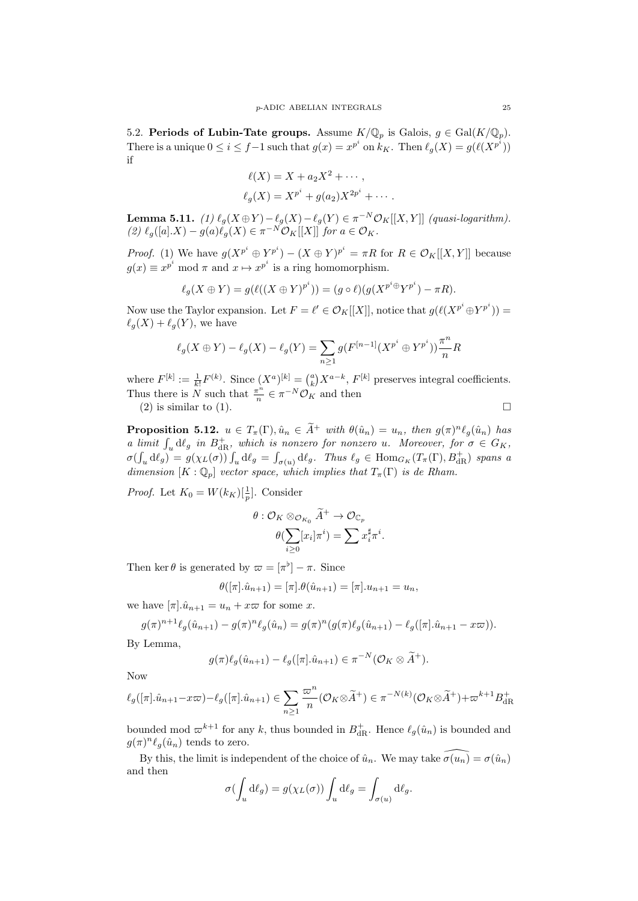5.2. **Periods of Lubin-Tate groups.** Assume  $K/\mathbb{Q}_p$  is Galois,  $g \in \text{Gal}(K/\mathbb{Q}_p)$ . There is a unique  $0 \le i \le f-1$  such that  $g(x) = x^{p^i}$  on  $k_K$ . Then  $\ell_g(X) = g(\ell(X^{p^i}))$ if

$$
\ell(X) = X + a_2 X^2 + \cdots,
$$
  

$$
\ell_g(X) = X^{p^i} + g(a_2) X^{2p^i} + \cdots.
$$

**Lemma 5.11.** (1)  $\ell_g(X \oplus Y) - \ell_g(X) - \ell_g(Y) \in \pi^{-N} \mathcal{O}_K[[X, Y]]$  (quasi-logarithm).  $(2)$   $\ell_g([a].X) - g(a)\ell_g(X) \in \pi^{-N} \mathcal{O}_K[[X]]$  for  $a \in \mathcal{O}_K$ .

*Proof.* (1) We have  $g(X^{p^i} \oplus Y^{p^i}) - (X \oplus Y)^{p^i} = \pi R$  for  $R \in \mathcal{O}_K[[X, Y]]$  because  $g(x) \equiv x^{p^i} \mod \pi$  and  $x \mapsto x^{p^i}$  is a ring homomorphism.

$$
\ell_g(X \oplus Y) = g(\ell((X \oplus Y)^{p^i})) = (g \circ \ell)(g(X^{p^i \oplus Y^{p^i}}) - \pi R).
$$

Now use the Taylor expansion. Let  $F = \ell' \in \mathcal{O}_K[[X]]$ , notice that  $g(\ell(X^{p^i} \oplus Y^{p^i})) =$  $\ell_q(X) + \ell_q(Y)$ , we have

$$
\ell_g(X \oplus Y) - \ell_g(X) - \ell_g(Y) = \sum_{n \ge 1} g(F^{[n-1]}(X^{p^i} \oplus Y^{p^i})) \frac{\pi^n}{n} R
$$

where  $F^{[k]} := \frac{1}{k!} F^{(k)}$ . Since  $(X^a)^{[k]} = {a \choose k} X^{a-k}$ ,  $F^{[k]}$  preserves integral coefficients. Thus there is  $\overline{N}$  such that  $\frac{\pi^n}{n}$  $\frac{\tau^n}{n} \in \pi^{-N} \mathcal{O}_K$  and then

(2) is similar to (1).  $\Box$ 

**Proposition 5.12.**  $u \in T_{\pi}(\Gamma)$ ,  $\hat{u}_n \in \tilde{A}^+$  with  $\theta(\hat{u}_n) = u_n$ , then  $g(\pi)^n \ell_g(\hat{u}_n)$  has *a limit*  $\int_u d\ell_g$  *in*  $B_{dR}^+$ *, which is nonzero for nonzero u. Moreover, for*  $\sigma \in G_K$ *,*  $\sigma(\int_u d\ell_g) = g(\chi_L(\sigma)) \int_u d\ell_g = \int_{\sigma(u)} d\ell_g$ . Thus  $\ell_g \in \text{Hom}_{G_K}(T_\pi(\Gamma), B^+_{dR})$  spans a *dimension*  $[K : \mathbb{Q}_p]$  *vector space, which implies that*  $T_\pi(\Gamma)$  *is de Rham.* 

*Proof.* Let  $K_0 = W(k_K)[\frac{1}{p}]$ . Consider

$$
\theta: \mathcal{O}_K \otimes_{\mathcal{O}_{K_0}} \widetilde{A}^+ \rightarrow \mathcal{O}_{\mathbb{C}_p} \\ \theta(\sum_{i \geq 0} [x_i] \pi^i) = \sum x_i^\sharp \pi^i
$$

*.*

Then ker  $\theta$  is generated by  $\varpi = [\pi^{\flat}] - \pi$ . Since

$$
\theta([\pi].\hat{u}_{n+1}) = [\pi].\theta(\hat{u}_{n+1}) = [\pi].u_{n+1} = u_n,
$$

we have  $[\pi] \cdot \hat{u}_{n+1} = u_n + x\varpi$  for some *x*.

$$
g(\pi)^{n+1}\ell_g(\hat{u}_{n+1}) - g(\pi)^n \ell_g(\hat{u}_n) = g(\pi)^n (g(\pi)\ell_g(\hat{u}_{n+1}) - \ell_g([\pi].\hat{u}_{n+1} - x\varpi)).
$$

By Lemma,

$$
g(\pi)\ell_g(\hat{u}_{n+1})-\ell_g([\pi].\hat{u}_{n+1})\in \pi^{-N}(\mathcal{O}_K\otimes \widetilde{A}^+).
$$

Now

$$
\ell_g([\pi].\hat{u}_{n+1} - x\varpi) - \ell_g([\pi].\hat{u}_{n+1}) \in \sum_{n\geq 1} \frac{\varpi^n}{n} (\mathcal{O}_K \otimes \widetilde{A}^+) \in \pi^{-N(k)}(\mathcal{O}_K \otimes \widetilde{A}^+) + \varpi^{k+1} B_{\mathrm{dR}}^+
$$

bounded mod  $\varpi^{k+1}$  for any *k*, thus bounded in  $B_{\text{dR}}^+$ . Hence  $\ell_g(\hat{u}_n)$  is bounded and  $g(\pi)^n \ell_g(\hat{u}_n)$  tends to zero.

By this, the limit is independent of the choice of  $\hat{u}_n$ . We may take  $\widehat{\sigma(u_n)} = \sigma(\hat{u}_n)$ and then

$$
\sigma(\int_u \mathrm{d}\ell_g) = g(\chi_L(\sigma)) \int_u \mathrm{d}\ell_g = \int_{\sigma(u)} \mathrm{d}\ell_g.
$$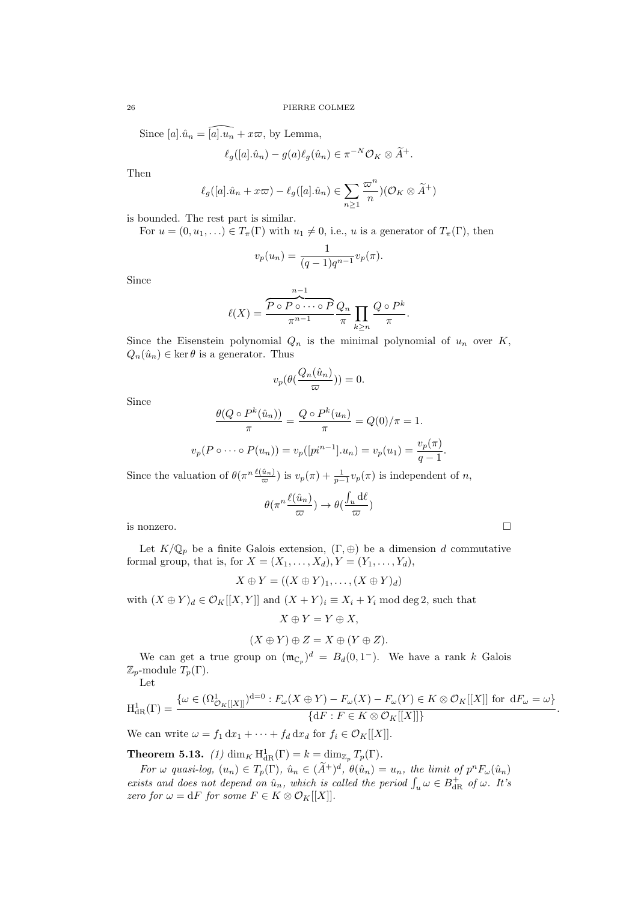Since  $[a] \cdot \hat{u}_n = \widehat{[a] \cdot u_n} + x \varpi$ , by Lemma,

$$
\ell_g([a].\hat{u}_n) - g(a)\ell_g(\hat{u}_n) \in \pi^{-N}\mathcal{O}_K \otimes \widetilde{A}^+.
$$

Then

$$
\ell_g([a].\hat{u}_n + x\varpi) - \ell_g([a].\hat{u}_n) \in \sum_{n \ge 1} \frac{\varpi^n}{n} (\mathcal{O}_K \otimes \widetilde{A}^+)
$$

is bounded. The rest part is similar.

For  $u = (0, u_1, \ldots) \in T_\pi(\Gamma)$  with  $u_1 \neq 0$ , i.e., *u* is a generator of  $T_\pi(\Gamma)$ , then

$$
v_p(u_n) = \frac{1}{(q-1)q^{n-1}} v_p(\pi).
$$

Since

$$
\ell(X) = \frac{\overbrace{P \circ P \circ \cdots \circ P}^{n-1} Q_n}{\pi^{n-1}} \prod_{k \geq n} \frac{Q \circ P^k}{\pi}.
$$

Since the Eisenstein polynomial  $Q_n$  is the minimal polynomial of  $u_n$  over  $K$ ,  $Q_n(\hat{u}_n) \in \ker \theta$  is a generator. Thus

$$
v_p(\theta(\frac{Q_n(\hat{u}_n)}{\varpi})) = 0.
$$

Since

$$
\frac{\theta(Q \circ P^k(\hat{u}_n))}{\pi} = \frac{Q \circ P^k(u_n)}{\pi} = Q(0)/\pi = 1.
$$
  

$$
v_p(P \circ \cdots \circ P(u_n)) = v_p([pi^{n-1}].u_n) = v_p(u_1) = \frac{v_p(\pi)}{q-1}.
$$

Since the valuation of  $\theta(\pi^{n} \frac{\ell(\hat{u}_n)}{\varpi})$  is  $v_p(\pi) + \frac{1}{p-1}v_p(\pi)$  is independent of *n*,

$$
\theta(\pi^n \frac{\ell(\hat{u}_n)}{\varpi}) \to \theta(\frac{\int_u \mathrm{d} \ell}{\varpi})
$$

is nonzero.  $\Box$ 

Let  $K/\mathbb{Q}_p$  be a finite Galois extension,  $(\Gamma, \oplus)$  be a dimension *d* commutative formal group, that is, for  $X = (X_1, ..., X_d), Y = (Y_1, ..., Y_d)$ ,

$$
X \oplus Y = ((X \oplus Y)_1, \ldots, (X \oplus Y)_d)
$$

with  $(X \oplus Y)_d \in \mathcal{O}_K[[X, Y]]$  and  $(X + Y)_i \equiv X_i + Y_i \mod \deg 2$ , such that

$$
X \oplus Y = Y \oplus X,
$$
  

$$
(X \oplus Y) \oplus Z = X \oplus (Y \oplus Z).
$$

We can get a true group on  $(\mathfrak{m}_{\mathbb{C}_p})^d = B_d(0,1^-)$ . We have a rank k Galois  $\mathbb{Z}_p$ -module  $T_p(\Gamma)$ .

Let

$$
\mathrm{H}^{1}_{\mathrm{dR}}(\Gamma) = \frac{\{\omega \in (\Omega^{1}_{\mathcal{O}_{K}[[X]]})^{d=0} : F_{\omega}(X \oplus Y) - F_{\omega}(X) - F_{\omega}(Y) \in K \otimes \mathcal{O}_{K}[[X]] \text{ for d} F_{\omega} = \omega\}}{\{dF : F \in K \otimes \mathcal{O}_{K}[[X]]\}}.
$$

We can write  $\omega = f_1 \, dx_1 + \cdots + f_d \, dx_d$  for  $f_i \in \mathcal{O}_K[[X]]$ .

**Theorem 5.13.** *(1)* dim<sub>*K*</sub> H<sub>dR</sub>(Γ) =  $k = \dim_{\mathbb{Z}_p} T_p(\Gamma)$ *.* 

For  $\omega$  quasi-log,  $(u_n) \in T_p(\Gamma)$ ,  $\hat{u}_n \in (\tilde{A}^+)^d$ ,  $\theta(\hat{u}_n) = u_n$ , the limit of  $p^n F_{\omega}(\hat{u}_n)$ *exists and does not depend on*  $\hat{u}_n$ *, which is called the period*  $\int_u \omega \in B_{dR}^+$  *of*  $\omega$ *. It's zero for*  $\omega = dF$  *for some*  $F \in K \otimes \mathcal{O}_K[[X]]$ .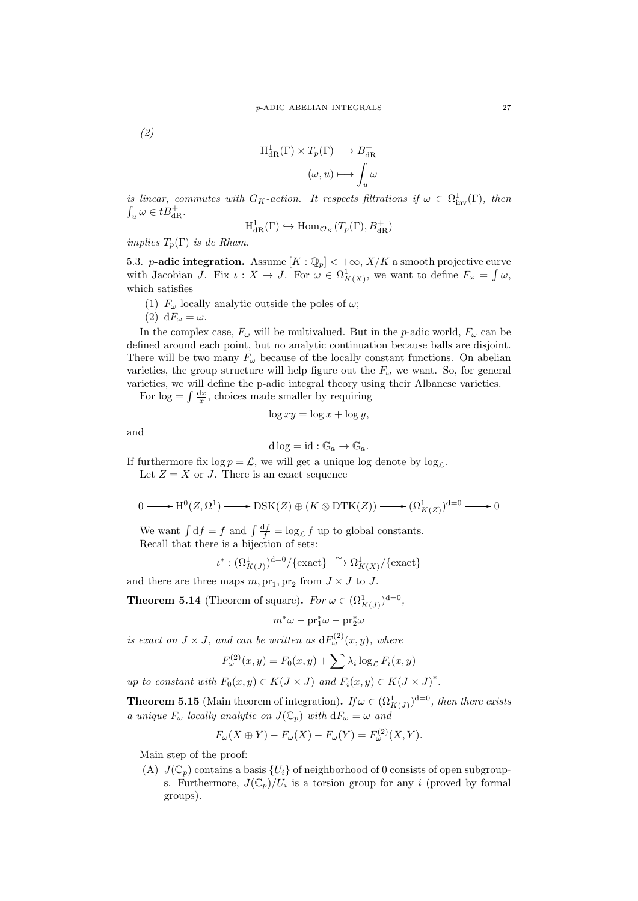*(2)*

$$
H^1_{\rm dR}(\Gamma) \times T_p(\Gamma) \longrightarrow B^+_{\rm dR} \\
(\omega, u) \longmapsto \int_u \omega
$$

*is linear, commutes with*  $G_K$ -*action. It respects filtrations if*  $\omega \in \Omega^1_{inv}(\Gamma)$ , then  $\int_u \omega \in tB_{\mathrm{dR}}^+$ .

$$
H^1_{\rm dR}(\Gamma) \hookrightarrow \text{Hom}_{\mathcal{O}_K}(T_p(\Gamma), B^+_{\rm dR})
$$

*implies*  $T_p(\Gamma)$  *is de Rham.* 

5.3. *p***-adic integration.** Assume  $[K: \mathbb{Q}_p] < +\infty$ ,  $X/K$  a smooth projective curve with Jacobian *J*. Fix  $\iota : X \to J$ . For  $\omega \in \Omega^1_{K(X)}$ , we want to define  $F_{\omega} = \int \omega$ , which satisfies

- (1)  $F_\omega$  locally analytic outside the poles of  $\omega$ ;
- (2)  $dF_\omega = \omega$ .

In the complex case,  $F_\omega$  will be multivalued. But in the *p*-adic world,  $F_\omega$  can be defined around each point, but no analytic continuation because balls are disjoint. There will be two many  $F_\omega$  because of the locally constant functions. On abelian varieties, the group structure will help figure out the  $F_\omega$  we want. So, for general varieties, we will define the p-adic integral theory using their Albanese varieties.

For  $\log = \int \frac{dx}{x}$ , choices made smaller by requiring

$$
\log xy = \log x + \log y,
$$

and

$$
d \log = id : \mathbb{G}_a \to \mathbb{G}_a.
$$

If furthermore fix  $\log p = \mathcal{L}$ , we will get a unique  $\log \text{denote by } \log \rho$ .

Let  $Z = X$  or *J*. There is an exact sequence

$$
0 \longrightarrow H^{0}(Z, \Omega^{1}) \longrightarrow \text{DSK}(Z) \oplus (K \otimes \text{DTK}(Z)) \longrightarrow (\Omega^{1}_{K(Z)})^{d=0} \longrightarrow 0
$$

We want  $\int df = f$  and  $\int \frac{df}{f} = \log_{\mathcal{L}} f$  up to global constants. Recall that there is a bijection of sets:

$$
\iota^*: (\Omega^1_{K(J)})^{{\rm d}=0}/\{\text{exact}\} \stackrel{\sim}{\longrightarrow} \Omega^1_{K(X)}/\{\text{exact}\}
$$

and there are three maps  $m, \text{pr}_1, \text{pr}_2$  from  $J \times J$  to  $J$ .

**Theorem 5.14** (Theorem of square). *For*  $\omega \in (\Omega^1_{K(J)})^{d=0}$ ,

$$
m^*\omega - \mathrm{pr}_1^*\omega - \mathrm{pr}_2^*\omega
$$

*is exact on*  $J \times J$ *, and can be written as*  $dF_{\omega}^{(2)}(x, y)$ *, where* 

$$
F_{\omega}^{(2)}(x,y) = F_0(x,y) + \sum \lambda_i \log_{\mathcal{L}} F_i(x,y)
$$

*up to constant with*  $F_0(x, y) \in K(J \times J)$  *and*  $F_i(x, y) \in K(J \times J)^*$ .

**Theorem 5.15** (Main theorem of integration). *If*  $\omega \in (\Omega^1_{K(J)})^{d=0}$ , then there exists *a unique*  $F_\omega$  *locally analytic on*  $J(\mathbb{C}_p)$  *with*  $dF_\omega = \omega$  *and* 

$$
F_{\omega}(X \oplus Y) - F_{\omega}(X) - F_{\omega}(Y) = F_{\omega}^{(2)}(X, Y).
$$

Main step of the proof:

(A)  $J(\mathbb{C}_p)$  contains a basis  $\{U_i\}$  of neighborhood of 0 consists of open subgroups. Furthermore,  $J(\mathbb{C}_p)/U_i$  is a torsion group for any *i* (proved by formal groups).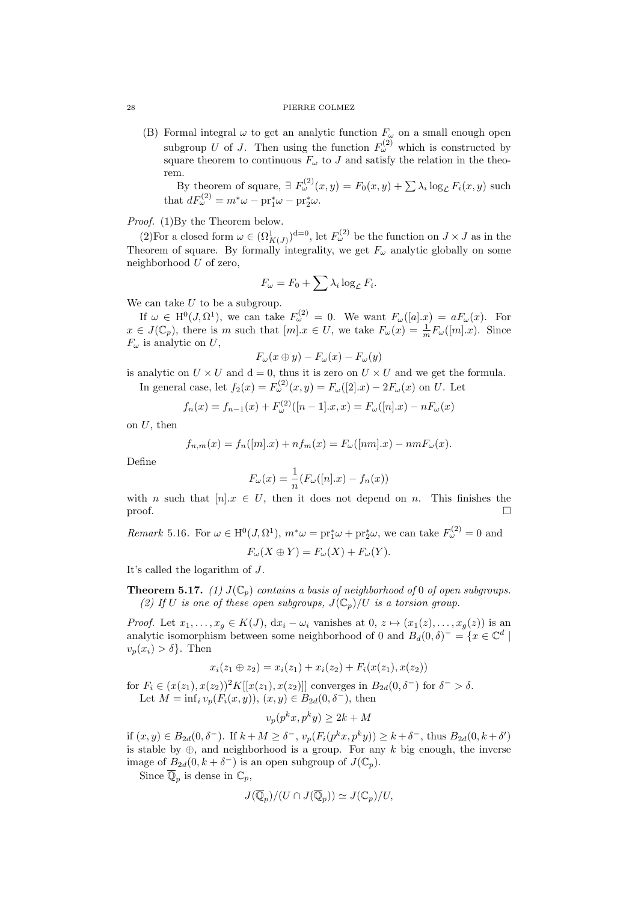#### 28 PIERRE COLMEZ

(B) Formal integral  $\omega$  to get an analytic function  $F_{\omega}$  on a small enough open subgroup *U* of *J*. Then using the function  $F_{\omega}^{(2)}$  which is constructed by square theorem to continuous  $F_\omega$  to *J* and satisfy the relation in the theorem.

By theorem of square,  $\exists F_{\omega}^{(2)}(x, y) = F_0(x, y) + \sum_{i} \lambda_i \log_{\mathcal{L}} F_i(x, y)$  such that  $dF_{\omega}^{(2)} = m^* \omega - \text{pr}_1^* \omega - \text{pr}_2^* \omega$ .

*Proof.* (1)By the Theorem below.

(2)For a closed form  $\omega \in (\Omega^1_{K(J)})^{d=0}$ , let  $F^{(2)}_{\omega}$  be the function on  $J \times J$  as in the Theorem of square. By formally integrality, we get  $F_\omega$  analytic globally on some neighborhood *U* of zero,

$$
F_{\omega} = F_0 + \sum \lambda_i \log_{\mathcal{L}} F_i.
$$

We can take *U* to be a subgroup.

If  $\omega \in H^0(J, \Omega^1)$ , we can take  $F^{(2)}_{\omega} = 0$ . We want  $F_{\omega}([a].x) = aF_{\omega}(x)$ . For  $x \in J(\mathbb{C}_p)$ , there is *m* such that  $[m].x \in U$ , we take  $F_\omega(x) = \frac{1}{m} F_\omega([m].x)$ . Since  $F_{\omega}$  is analytic on *U*,

$$
F_{\omega}(x\oplus y) - F_{\omega}(x) - F_{\omega}(y)
$$

is analytic on  $U \times U$  and  $d = 0$ , thus it is zero on  $U \times U$  and we get the formula. In general case, let  $f_2(x) = F_\omega^{(2)}(x, y) = F_\omega([2].x) - 2F_\omega(x)$  on *U*. Let

$$
f_n(x) = f_{n-1}(x) + F_{\omega}^{(2)}([n-1].x, x) = F_{\omega}([n].x) - nF_{\omega}(x)
$$

on *U*, then

$$
f_{n,m}(x) = f_n([m].x) + n f_m(x) = F_{\omega}([nm].x) - n m F_{\omega}(x).
$$

Define

$$
F_{\omega}(x) = \frac{1}{n}(F_{\omega}([n].x) - f_n(x))
$$

with *n* such that  $[n]$ .  $x \in U$ , then it does not depend on *n*. This finishes the  $\Box$ 

*Remark* 5.16. For 
$$
\omega \in H^0(J, \Omega^1)
$$
,  $m^*\omega = pr_1^*\omega + pr_2^*\omega$ , we can take  $F_{\omega}^{(2)} = 0$  and  

$$
F_{\omega}(X \oplus Y) = F_{\omega}(X) + F_{\omega}(Y).
$$

It's called the logarithm of *J*.

**Theorem 5.17.** *(1)*  $J(\mathbb{C}_p)$  *contains a basis of neighborhood of* 0 *of open subgroups. (2)* If U is one of these open subgroups,  $J(\mathbb{C}_p)/U$  is a torsion group.

*Proof.* Let  $x_1, \ldots, x_g \in K(J)$ ,  $dx_i - \omega_i$  vanishes at  $0, z \mapsto (x_1(z), \ldots, x_g(z))$  is an analytic isomorphism between some neighborhood of 0 and  $B_d(0, \delta)^- = \{x \in \mathbb{C}^d \mid$  $v_p(x_i) > \delta$ . Then

$$
x_i(z_1 \oplus z_2) = x_i(z_1) + x_i(z_2) + F_i(x(z_1), x(z_2))
$$

for  $F_i \in (x(z_1), x(z_2))^2 K[[x(z_1), x(z_2)]]$  converges in  $B_{2d}(0, \delta^-)$  for  $\delta^- > \delta$ . Let  $M = \inf_i v_p(F_i(x, y)), (x, y) \in B_{2d}(0, \delta^-),$  then

$$
v_p(p^kx, p^ky) \ge 2k + M
$$

if  $(x, y) \in B_{2d}(0, \delta^{-})$ . If  $k + M \geq \delta^{-}$ ,  $v_p(F_i(p^k x, p^k y)) \geq k + \delta^{-}$ , thus  $B_{2d}(0, k + \delta')$ is stable by *⊕*, and neighborhood is a group. For any *k* big enough, the inverse image of  $B_{2d}(0, k + \delta^-)$  is an open subgroup of  $J(\mathbb{C}_p)$ .

Since  $\mathbb{Q}_p$  is dense in  $\mathbb{C}_p$ ,

$$
J(\overline{\mathbb{Q}}_p)/(U \cap J(\overline{\mathbb{Q}}_p)) \simeq J(\mathbb{C}_p)/U,
$$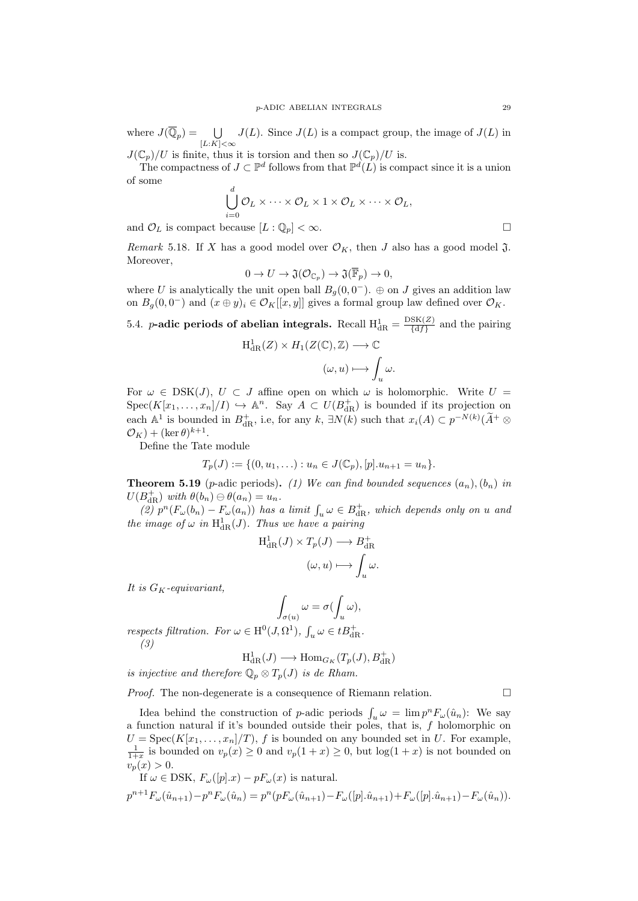where  $J(\overline{\mathbb{Q}}_p) = \bigcup$ [*L*:*K*]*<∞*  $J(L)$ . Since  $J(L)$  is a compact group, the image of  $J(L)$  in

 $J(\mathbb{C}_p)/U$  is finite, thus it is torsion and then so  $J(\mathbb{C}_p)/U$  is.

The compactness of  $J \subset \mathbb{P}^d$  follows from that  $\mathbb{P}^d(L)$  is compact since it is a union of some

$$
\bigcup_{i=0}^d \mathcal{O}_L \times \cdots \times \mathcal{O}_L \times 1 \times \mathcal{O}_L \times \cdots \times \mathcal{O}_L,
$$

and  $\mathcal{O}_L$  is compact because  $[L:\mathbb{Q}_p] < \infty$ .

*Remark* 5.18. If *X* has a good model over  $\mathcal{O}_K$ , then *J* also has a good model  $\mathfrak{J}$ . Moreover,

$$
0 \to U \to \mathfrak{J}(\mathcal{O}_{\mathbb{C}_p}) \to \mathfrak{J}(\overline{\mathbb{F}}_p) \to 0,
$$

where *U* is analytically the unit open ball  $B_g(0, 0^-)$ .  $\oplus$  on *J* gives an addition law on  $B_g(0,0^-)$  and  $(x \oplus y)_i \in \mathcal{O}_K[[x,y]]$  gives a formal group law defined over  $\mathcal{O}_K$ .

<span id="page-28-0"></span>5.4. *p***-adic periods of abelian integrals.** Recall  $H_{dR}^1 = \frac{DSK(Z)}{\{df\}}$  $\frac{\text{SN}(Z)}{\{df\}}$  and the pairing  $H^1_{\mathrm{dR}}(Z) \times H_1(Z(\mathbb{C}), \mathbb{Z}) \longrightarrow \mathbb{C}$ 

$$
(\omega, u) \longmapsto \int_u \omega.
$$

For  $\omega \in \text{DSK}(J)$ ,  $U \subset J$  affine open on which  $\omega$  is holomorphic. Write  $U =$  $Spec(K[x_1, \ldots, x_n]/I) \hookrightarrow \mathbb{A}^n$ . Say  $A \subset U(B_{dR}^+)$  is bounded if its projection on each  $\mathbb{A}^1$  is bounded in  $B_{dR}^+$ , i.e, for any  $k$ ,  $\exists N(k)$  such that  $x_i(A) \subset p^{-N(k)}(\widetilde{A}^+ \otimes$  $\mathcal{O}_K$ ) + (ker  $\theta$ )<sup>k+1</sup>.

Define the Tate module

$$
T_p(J) := \{ (0, u_1, \ldots) : u_n \in J(\mathbb{C}_p), [p] \cdot u_{n+1} = u_n \}.
$$

**Theorem 5.19** (*p*-adic periods). (1) We can find bounded sequences  $(a_n)$ ,  $(b_n)$  in  $U(B_{\text{dR}}^+)$  *with*  $\theta(b_n) \ominus \theta(a_n) = u_n$ .

 $(2)$   $p^{n}(F_{\omega}(b_{n}) - F_{\omega}(a_{n}))$  *has a limit*  $\int_{u} \omega \in B_{dR}^{+}$ *, which depends only on u and the image of*  $\omega$  *in*  $H^1_{dR}(J)$ *. Thus we have a pairing* 

$$
H_{\mathrm{dR}}^1(J) \times T_p(J) \longrightarrow B_{\mathrm{dR}}^+
$$

$$
(\omega, u) \longmapsto \int_u \omega.
$$

*It is GK-equivariant,*

$$
\int_{\sigma(u)} \omega = \sigma(\int_u \omega),
$$

*respects filtration. For*  $\omega \in H^0(J, \Omega^1)$ ,  $\int_u \omega \in tB_{dR}^+$ . *(3)*

$$
H^1_{\mathrm{dR}}(J) \longrightarrow \mathrm{Hom}_{G_K}(T_p(J), B^+_{\mathrm{dR}})
$$

*is injective and therefore*  $\mathbb{Q}_p \otimes T_p(J)$  *is de Rham.* 

*Proof.* The non-degenerate is a consequence of Riemann relation. □

Idea behind the construction of *p*-adic periods  $\int_u \omega = \lim p^n F_\omega(\hat{u}_n)$ : We say a function natural if it's bounded outside their poles, that is, *f* holomorphic on  $U = \text{Spec}(K[x_1, \ldots, x_n]/T)$ , *f* is bounded on any bounded set in *U*. For example,  $\frac{1}{1+x}$  is bounded on  $v_p(x) \ge 0$  and  $v_p(1+x) \ge 0$ , but  $\log(1+x)$  is not bounded on  $v_p(x) > 0.$ 

If 
$$
\omega \in \text{DSK}
$$
,  $F_{\omega}([p].x) - pF_{\omega}(x)$  is natural.  
\n
$$
p^{n+1}F_{\omega}(\hat{u}_{n+1}) - p^n F_{\omega}(\hat{u}_n) = p^n (pF_{\omega}(\hat{u}_{n+1}) - F_{\omega}([p].\hat{u}_{n+1}) + F_{\omega}([p].\hat{u}_{n+1}) - F_{\omega}(\hat{u}_n)).
$$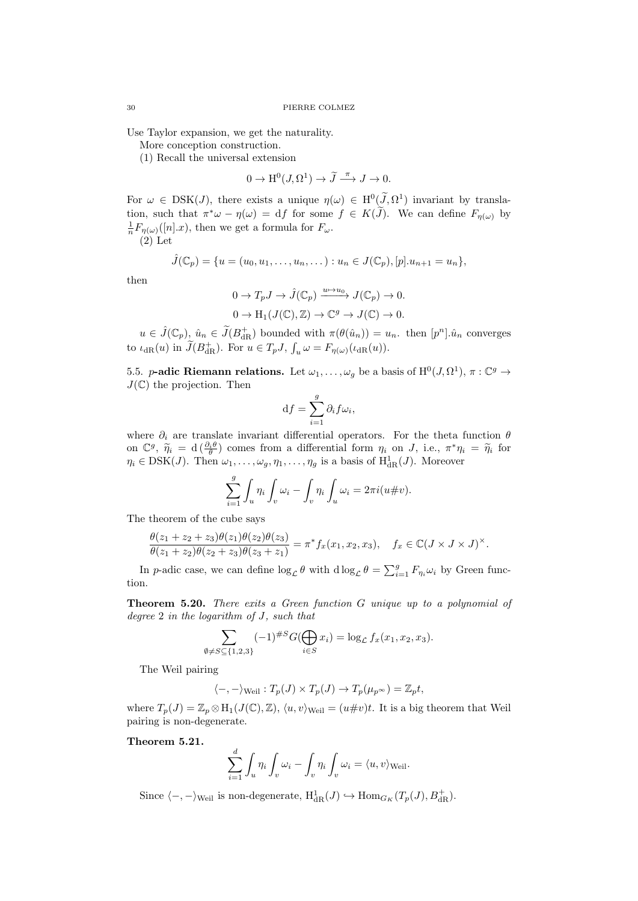Use Taylor expansion, we get the naturality.

More conception construction.

(1) Recall the universal extension

$$
0 \to \mathrm{H}^0(J, \Omega^1) \to \widetilde{J} \xrightarrow{\pi} J \to 0.
$$

For  $\omega \in \text{DSK}(J)$ , there exists a unique  $\eta(\omega) \in H^0(\overline{J}, \Omega^1)$  invariant by translation, such that  $\pi^*\omega - \eta(\omega) = df$  for some  $f \in K(\tilde{J})$ . We can define  $F_{\eta(\omega)}$  by  $\frac{1}{n}F_{\eta(\omega)}([n].x)$ , then we get a formula for  $F_{\omega}$ .  $(2)$  Let

$$
\hat{J}(\mathbb{C}_p) = \{u = (u_0, u_1, \dots, u_n, \dots) : u_n \in J(\mathbb{C}_p), [p].u_{n+1} = u_n\},\
$$

then

$$
0 \to T_p J \to \hat{J}(\mathbb{C}_p) \xrightarrow{u \to u_0} J(\mathbb{C}_p) \to 0.
$$
  

$$
0 \to H_1(J(\mathbb{C}), \mathbb{Z}) \to \mathbb{C}^g \to J(\mathbb{C}) \to 0.
$$

 $u \in \hat{J}(\mathbb{C}_p)$ ,  $\hat{u}_n \in \tilde{J}(B_{\text{dR}}^+)$  bounded with  $\pi(\theta(\hat{u}_n)) = u_n$ . then  $[p^n] \cdot \hat{u}_n$  converges to  $\iota_{\text{dR}}(u)$  in  $\widetilde{J}(B_{\text{dR}}^{+})$ . For  $u \in T_p J$ ,  $\int_u \omega = F_{\eta(\omega)}(\iota_{\text{dR}}(u))$ .

<span id="page-29-0"></span>5.5. *p***-adic Riemann relations.** Let  $\omega_1, \ldots, \omega_g$  be a basis of  $H^0(J, \Omega^1), \pi : \mathbb{C}^g \to$  $J(\mathbb{C})$  the projection. Then

$$
\mathrm{d}f = \sum_{i=1}^{g} \partial_i f \omega_i,
$$

where  $\partial_i$  are translate invariant differential operators. For the theta function  $\theta$ on  $\mathbb{C}^g$ ,  $\widetilde{\eta}_i = d\left(\frac{\partial_i \theta}{\theta}\right)$  comes from a differential form  $\eta_i$  on *J*, i.e.,  $\pi^* \eta_i = \widetilde{\eta}_i$  for  $\eta_i \in \text{DSK}(J)$ . Then  $\omega_1, \ldots, \omega_g, \eta_1, \ldots, \eta_g$  is a basis of  $H^1_{dR}(J)$ . Moreover

$$
\sum_{i=1}^{g} \int_{u} \eta_i \int_{v} \omega_i - \int_{v} \eta_i \int_{u} \omega_i = 2\pi i (u \# v).
$$

The theorem of the cube says

$$
\frac{\theta(z_1+z_2+z_3)\theta(z_1)\theta(z_2)\theta(z_3)}{\theta(z_1+z_2)\theta(z_2+z_3)\theta(z_3+z_1)} = \pi^* f_x(x_1,x_2,x_3), \quad f_x \in \mathbb{C}(J \times J \times J)^{\times}.
$$

In *p*-adic case, we can define  $\log_{\mathcal{L}} \theta$  with  $d \log_{\mathcal{L}} \theta = \sum_{i=1}^{g} F_{\eta_i} \omega_i$  by Green function.

**Theorem 5.20.** *There exits a Green function G unique up to a polynomial of degree* 2 *in the logarithm of J, such that*

$$
\sum_{\emptyset \neq S \subseteq \{1,2,3\}} (-1)^{\#S} G(\bigoplus_{i \in S} x_i) = \log_{\mathcal{L}} f_x(x_1, x_2, x_3).
$$

The Weil pairing

$$
\langle -, -\rangle_{\text{Weil}} : T_p(J) \times T_p(J) \to T_p(\mu_{p^{\infty}}) = \mathbb{Z}_p t,
$$

where  $T_p(J) = \mathbb{Z}_p \otimes H_1(J(\mathbb{C}), \mathbb{Z}), \langle u, v \rangle_{\text{Weil}} = (u \# v)t$ . It is a big theorem that Weil pairing is non-degenerate.

**Theorem 5.21.**

$$
\sum_{i=1}^{d} \int_{u} \eta_i \int_{v} \omega_i - \int_{v} \eta_i \int_{v} \omega_i = \langle u, v \rangle_{\text{Weil}}.
$$

Since  $\langle -, -\rangle_{\text{Weil}}$  is non-degenerate,  $H^1_{\text{dR}}(J) \hookrightarrow \text{Hom}_{G_K}(T_p(J), B^+_{\text{dR}})$ .